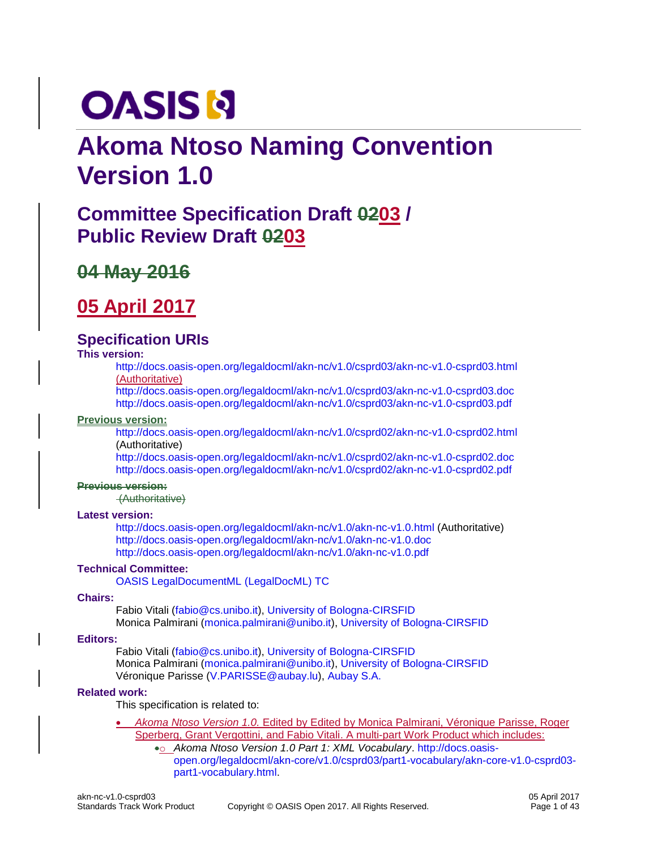# **OASIS N**

# **Akoma Ntoso Naming Convention Version 1.0**

# **Committee Specification Draft 0203 / Public Review Draft 0203**

# **04 May 2016**

# **05 April 2017**

### **Specification URIs**

#### **This version:**

<http://docs.oasis-open.org/legaldocml/akn-nc/v1.0/csprd03/akn-nc-v1.0-csprd03.html> (Authoritative)

<http://docs.oasis-open.org/legaldocml/akn-nc/v1.0/csprd03/akn-nc-v1.0-csprd03.doc> <http://docs.oasis-open.org/legaldocml/akn-nc/v1.0/csprd03/akn-nc-v1.0-csprd03.pdf>

#### **Previous version:**

<http://docs.oasis-open.org/legaldocml/akn-nc/v1.0/csprd02/akn-nc-v1.0-csprd02.html> (Authoritative)

<http://docs.oasis-open.org/legaldocml/akn-nc/v1.0/csprd02/akn-nc-v1.0-csprd02.doc> <http://docs.oasis-open.org/legaldocml/akn-nc/v1.0/csprd02/akn-nc-v1.0-csprd02.pdf>

#### **Previous version:**

(Authoritative)

#### **Latest version:**

<http://docs.oasis-open.org/legaldocml/akn-nc/v1.0/akn-nc-v1.0.html> (Authoritative) <http://docs.oasis-open.org/legaldocml/akn-nc/v1.0/akn-nc-v1.0.doc> <http://docs.oasis-open.org/legaldocml/akn-nc/v1.0/akn-nc-v1.0.pdf>

#### **Technical Committee:**

[OASIS LegalDocumentML \(LegalDocML\) TC](https://www.oasis-open.org/committees/legaldocml/)

#### **Chairs:**

Fabio Vitali [\(fabio@cs.unibo.it\)](mailto:fabio@cs.unibo.it), [University of Bologna-CIRSFID](http://www.cirsfid.unibo.it/) Monica Palmirani [\(monica.palmirani@unibo.it\)](mailto:monica.palmirani@unibo.it), [University of Bologna-CIRSFID](http://www.cirsfid.unibo.it/)

#### **Editors:**

Fabio Vitali [\(fabio@cs.unibo.it\)](mailto:fabio@cs.unibo.it), [University of Bologna-CIRSFID](http://www.cirsfid.unibo.it/) Monica Palmirani [\(monica.palmirani@unibo.it\)](mailto:monica.palmirani@unibo.it), [University of Bologna-CIRSFID](http://www.cirsfid.unibo.it/) Véronique Parisse [\(V.PARISSE@aubay.lu\)](mailto:V.PARISSE@aubay.lu), [Aubay S.A.](http://aubay.com/)

#### **Related work:**

This specification is related to:

- *Akoma Ntoso Version 1.0.* Edited by Edited by Monica Palmirani, Véronique Parisse, Roger Sperberg, Grant Vergottini, and Fabio Vitali. A multi-part Work Product which includes:
	- •o *Akoma Ntoso Version 1.0 Part 1: XML Vocabulary*. [http://docs.oasis](http://docs.oasis-open.org/legaldocml/akn-core/v1.0/csprd03/part1-vocabulary/akn-core-v1.0-csprd03-part1-vocabulary.html)[open.org/legaldocml/akn-core/v1.0/csprd03/part1-vocabulary/akn-core-v1.0-csprd03](http://docs.oasis-open.org/legaldocml/akn-core/v1.0/csprd03/part1-vocabulary/akn-core-v1.0-csprd03-part1-vocabulary.html) [part1-vocabulary.html.](http://docs.oasis-open.org/legaldocml/akn-core/v1.0/csprd03/part1-vocabulary/akn-core-v1.0-csprd03-part1-vocabulary.html)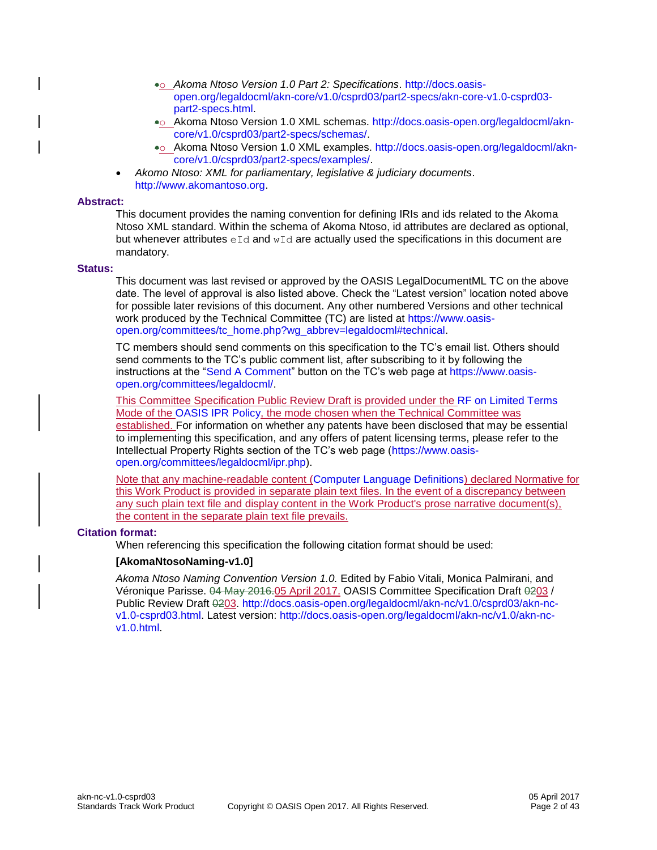- •o *Akoma Ntoso Version 1.0 Part 2: Specifications*. [http://docs.oasis](http://docs.oasis-open.org/legaldocml/akn-core/v1.0/csprd03/part2-specs/akn-core-v1.0-csprd03-part2-specs.html)[open.org/legaldocml/akn-core/v1.0/csprd03/part2-specs/akn-core-v1.0-csprd03](http://docs.oasis-open.org/legaldocml/akn-core/v1.0/csprd03/part2-specs/akn-core-v1.0-csprd03-part2-specs.html) [part2-specs.html.](http://docs.oasis-open.org/legaldocml/akn-core/v1.0/csprd03/part2-specs/akn-core-v1.0-csprd03-part2-specs.html)
- •o Akoma Ntoso Version 1.0 XML schemas. [http://docs.oasis-open.org/legaldocml/akn](http://docs.oasis-open.org/legaldocml/akn-core/v1.0/csprd03/part2-specs/schemas/)[core/v1.0/csprd03/part2-specs/schemas/.](http://docs.oasis-open.org/legaldocml/akn-core/v1.0/csprd03/part2-specs/schemas/)
- •o Akoma Ntoso Version 1.0 XML examples. [http://docs.oasis-open.org/legaldocml/akn](http://docs.oasis-open.org/legaldocml/akn-core/v1.0/csprd03/part2-specs/examples/)[core/v1.0/csprd03/part2-specs/examples/.](http://docs.oasis-open.org/legaldocml/akn-core/v1.0/csprd03/part2-specs/examples/)
- *Akomo Ntoso: XML for parliamentary, legislative & judiciary documents*. [http://www.akomantoso.org.](http://www.akomantoso.org/)

#### **Abstract:**

This document provides the naming convention for defining IRIs and ids related to the Akoma Ntoso XML standard. Within the schema of Akoma Ntoso, id attributes are declared as optional, but whenever attributes  $eId$  and  $wId$  are actually used the specifications in this document are mandatory.

#### **Status:**

This document was last revised or approved by the OASIS LegalDocumentML TC on the above date. The level of approval is also listed above. Check the "Latest version" location noted above for possible later revisions of this document. Any other numbered Versions and other technical work produced by the Technical Committee (TC) are listed at [https://www.oasis](https://www.oasis-open.org/committees/tc_home.php?wg_abbrev=legaldocml#technical)[open.org/committees/tc\\_home.php?wg\\_abbrev=legaldocml#technical.](https://www.oasis-open.org/committees/tc_home.php?wg_abbrev=legaldocml#technical)

TC members should send comments on this specification to the TC's email list. Others should send comments to the TC's public comment list, after subscribing to it by following the instructions at the ["Send A Comment"](https://www.oasis-open.org/committees/comments/index.php?wg_abbrev=legaldocml) button on the TC's web page at [https://www.oasis](https://www.oasis-open.org/committees/legaldocml/)[open.org/committees/legaldocml/.](https://www.oasis-open.org/committees/legaldocml/)

This Committee Specification Public Review Draft is provided under the [RF on Limited Terms](https://www.oasis-open.org/policies-guidelines/ipr#RF-on-Limited-Mode) Mode of the [OASIS IPR Policy,](https://www.oasis-open.org/policies-guidelines/ipr) the mode chosen when the Technical Committee was established. For information on whether any patents have been disclosed that may be essential to implementing this specification, and any offers of patent licensing terms, please refer to the Intellectual Property Rights section of the TC's web page [\(https://www.oasis](https://www.oasis-open.org/committees/legaldocml/ipr.php)[open.org/committees/legaldocml/ipr.php\)](https://www.oasis-open.org/committees/legaldocml/ipr.php).

Note that any machine-readable content [\(Computer Language Definitions\)](https://www.oasis-open.org/policies-guidelines/tc-process#quality-formalLangDefns) declared Normative for this Work Product is provided in separate plain text files. In the event of a discrepancy between any such plain text file and display content in the Work Product's prose narrative document(s), the content in the separate plain text file prevails.

#### **Citation format:**

When referencing this specification the following citation format should be used:

#### **[AkomaNtosoNaming-v1.0]**

*Akoma Ntoso Naming Convention Version 1.0.* Edited by Fabio Vitali, Monica Palmirani, and Véronique Parisse. 04 May 2016.05 April 2017. OASIS Committee Specification Draft 0203 / Public Review Draft 0203. [http://docs.oasis-open.org/legaldocml/akn-nc/v1.0/csprd03/akn-nc](http://docs.oasis-open.org/legaldocml/akn-nc/v1.0/csprd03/akn-nc-v1.0-csprd03.html)[v1.0-csprd03.html.](http://docs.oasis-open.org/legaldocml/akn-nc/v1.0/csprd03/akn-nc-v1.0-csprd03.html) Latest version: [http://docs.oasis-open.org/legaldocml/akn-nc/v1.0/akn-nc](http://docs.oasis-open.org/legaldocml/akn-nc/v1.0/akn-nc-v1.0.html)[v1.0.html.](http://docs.oasis-open.org/legaldocml/akn-nc/v1.0/akn-nc-v1.0.html)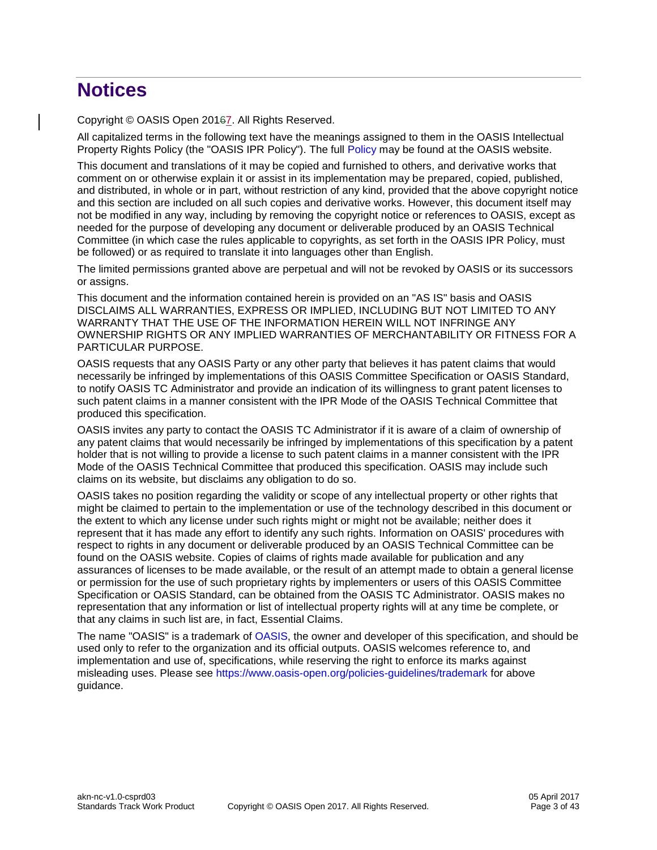# **Notices**

Copyright © OASIS Open 20167. All Rights Reserved.

All capitalized terms in the following text have the meanings assigned to them in the OASIS Intellectual Property Rights Policy (the "OASIS IPR Policy"). The full [Policy](https://www.oasis-open.org/policies-guidelines/ipr) may be found at the OASIS website.

This document and translations of it may be copied and furnished to others, and derivative works that comment on or otherwise explain it or assist in its implementation may be prepared, copied, published, and distributed, in whole or in part, without restriction of any kind, provided that the above copyright notice and this section are included on all such copies and derivative works. However, this document itself may not be modified in any way, including by removing the copyright notice or references to OASIS, except as needed for the purpose of developing any document or deliverable produced by an OASIS Technical Committee (in which case the rules applicable to copyrights, as set forth in the OASIS IPR Policy, must be followed) or as required to translate it into languages other than English.

The limited permissions granted above are perpetual and will not be revoked by OASIS or its successors or assigns.

This document and the information contained herein is provided on an "AS IS" basis and OASIS DISCLAIMS ALL WARRANTIES, EXPRESS OR IMPLIED, INCLUDING BUT NOT LIMITED TO ANY WARRANTY THAT THE USE OF THE INFORMATION HEREIN WILL NOT INFRINGE ANY OWNERSHIP RIGHTS OR ANY IMPLIED WARRANTIES OF MERCHANTABILITY OR FITNESS FOR A PARTICULAR PURPOSE.

OASIS requests that any OASIS Party or any other party that believes it has patent claims that would necessarily be infringed by implementations of this OASIS Committee Specification or OASIS Standard, to notify OASIS TC Administrator and provide an indication of its willingness to grant patent licenses to such patent claims in a manner consistent with the IPR Mode of the OASIS Technical Committee that produced this specification.

OASIS invites any party to contact the OASIS TC Administrator if it is aware of a claim of ownership of any patent claims that would necessarily be infringed by implementations of this specification by a patent holder that is not willing to provide a license to such patent claims in a manner consistent with the IPR Mode of the OASIS Technical Committee that produced this specification. OASIS may include such claims on its website, but disclaims any obligation to do so.

OASIS takes no position regarding the validity or scope of any intellectual property or other rights that might be claimed to pertain to the implementation or use of the technology described in this document or the extent to which any license under such rights might or might not be available; neither does it represent that it has made any effort to identify any such rights. Information on OASIS' procedures with respect to rights in any document or deliverable produced by an OASIS Technical Committee can be found on the OASIS website. Copies of claims of rights made available for publication and any assurances of licenses to be made available, or the result of an attempt made to obtain a general license or permission for the use of such proprietary rights by implementers or users of this OASIS Committee Specification or OASIS Standard, can be obtained from the OASIS TC Administrator. OASIS makes no representation that any information or list of intellectual property rights will at any time be complete, or that any claims in such list are, in fact, Essential Claims.

The name "OASIS" is a trademark of [OASIS,](https://www.oasis-open.org/) the owner and developer of this specification, and should be used only to refer to the organization and its official outputs. OASIS welcomes reference to, and implementation and use of, specifications, while reserving the right to enforce its marks against misleading uses. Please see<https://www.oasis-open.org/policies-guidelines/trademark> for above guidance.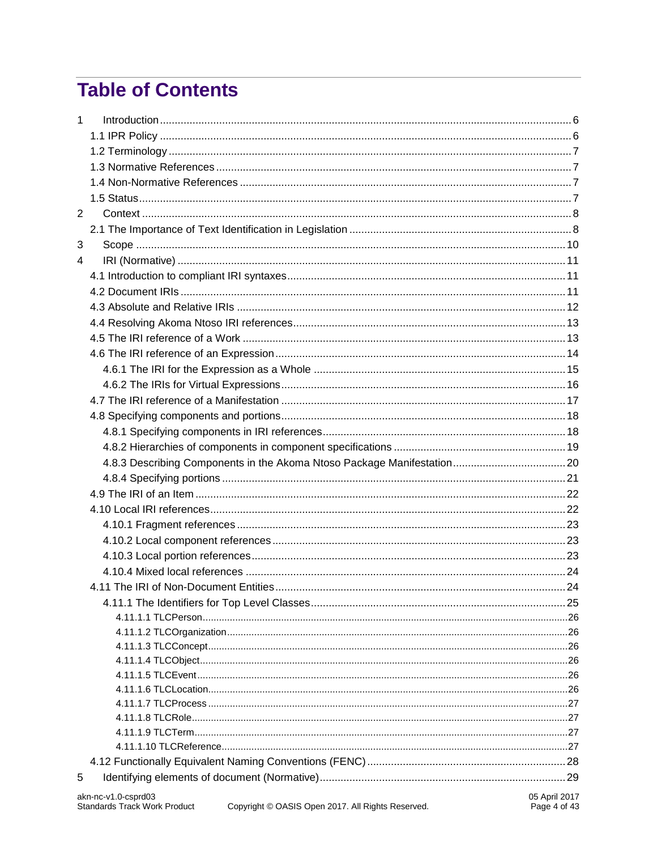# **Table of Contents**

| $\mathbf{1}$   |                                                             |  |
|----------------|-------------------------------------------------------------|--|
|                |                                                             |  |
|                |                                                             |  |
|                |                                                             |  |
|                |                                                             |  |
|                |                                                             |  |
| $\overline{2}$ |                                                             |  |
|                |                                                             |  |
| 3              |                                                             |  |
| 4              |                                                             |  |
|                |                                                             |  |
|                |                                                             |  |
|                |                                                             |  |
|                |                                                             |  |
|                |                                                             |  |
|                |                                                             |  |
|                |                                                             |  |
|                |                                                             |  |
|                |                                                             |  |
|                |                                                             |  |
|                |                                                             |  |
|                |                                                             |  |
|                |                                                             |  |
|                |                                                             |  |
|                |                                                             |  |
|                |                                                             |  |
|                |                                                             |  |
|                |                                                             |  |
|                |                                                             |  |
|                |                                                             |  |
|                |                                                             |  |
|                |                                                             |  |
|                |                                                             |  |
|                |                                                             |  |
|                |                                                             |  |
|                |                                                             |  |
|                |                                                             |  |
|                |                                                             |  |
|                |                                                             |  |
|                |                                                             |  |
|                |                                                             |  |
|                |                                                             |  |
| 5              |                                                             |  |
|                | $05 \Delta \text{nril}$ 2017<br>$akn-nc-v1$ $0$ -cenrd $03$ |  |
|                |                                                             |  |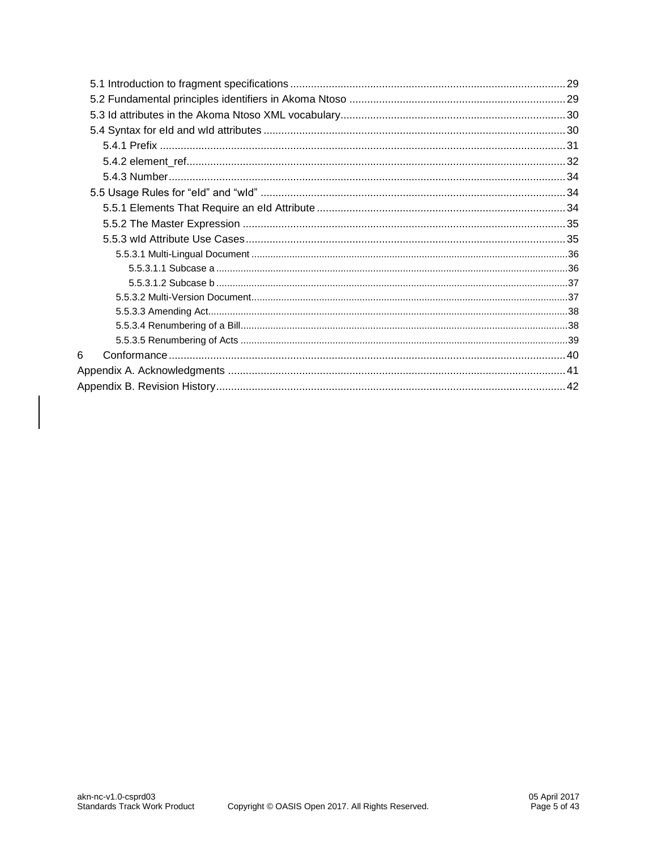| 6 |  |
|---|--|
|   |  |
|   |  |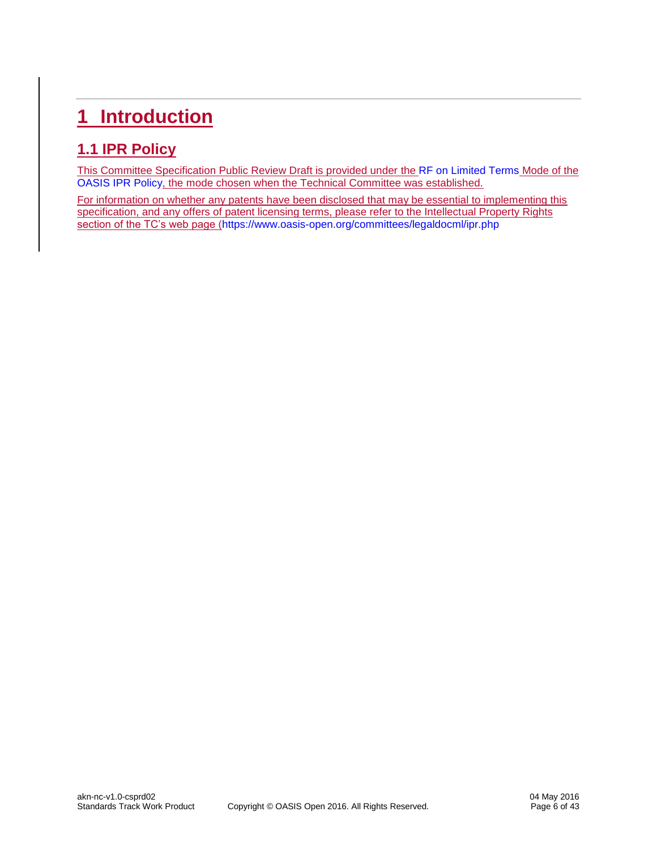# <span id="page-5-0"></span>**1 Introduction**

## <span id="page-5-1"></span>**1.1 IPR Policy**

This Committee Specification Public Review Draft is provided under the [RF on Limited Terms](https://www.oasis-open.org/policies-guidelines/ipr#RF-on-Limited-Mode) Mode of the [OASIS IPR Policy,](https://www.oasis-open.org/policies-guidelines/ipr) the mode chosen when the Technical Committee was established.

For information on whether any patents have been disclosed that may be essential to implementing this specification, and any offers of patent licensing terms, please refer to the Intellectual Property Rights section of the TC's web page [\(https://www.oasis-open.org/committees/legaldocml/ipr.php](https://www.oasis-open.org/committees/legaldocml/ipr.php)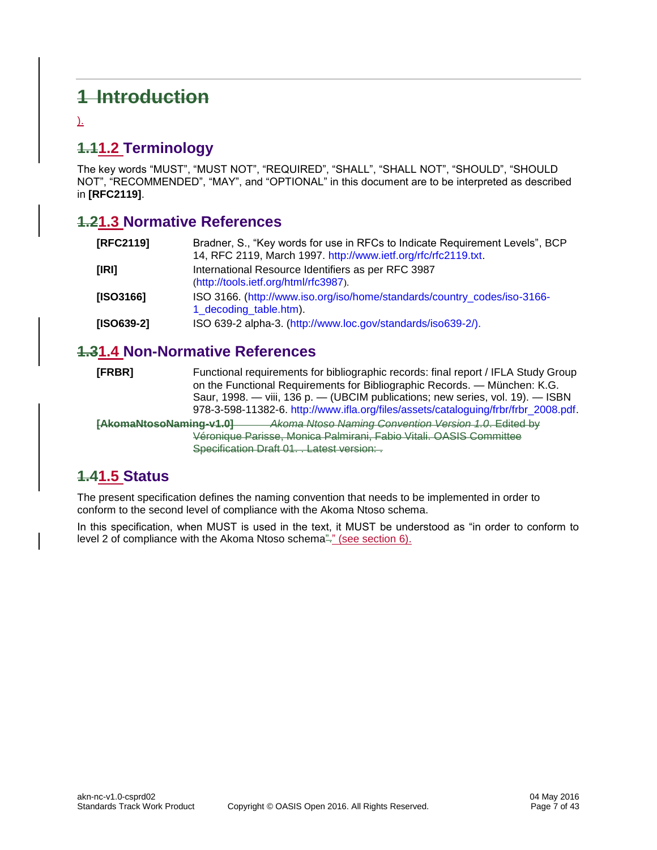# **1 Introduction**

).

# <span id="page-6-0"></span>**1.11.2 Terminology**

The key words "MUST", "MUST NOT", "REQUIRED", "SHALL", "SHALL NOT", "SHOULD", "SHOULD NOT", "RECOMMENDED", "MAY", and "OPTIONAL" in this document are to be interpreted as described in **[\[RFC2119\]](#page-6-4)**.

### <span id="page-6-1"></span>**1.21.3 Normative References**

<span id="page-6-4"></span>

| [RFC2119]                                                                                                       | Bradner, S., "Key words for use in RFCs to Indicate Requirement Levels", BCP<br>14, RFC 2119, March 1997. http://www.ietf.org/rfc/rfc2119.txt. |
|-----------------------------------------------------------------------------------------------------------------|------------------------------------------------------------------------------------------------------------------------------------------------|
| [IRI]                                                                                                           | International Resource Identifiers as per RFC 3987<br>(http://tools.ietf.org/html/rfc3987).                                                    |
| ISO 3166. (http://www.iso.org/iso/home/standards/country_codes/iso-3166-<br>[ISO3166]<br>1_decoding_table.htm). |                                                                                                                                                |
| $[ISO639-2]$                                                                                                    | ISO 639-2 alpha-3. (http://www.loc.gov/standards/iso639-2/).                                                                                   |

#### <span id="page-6-2"></span>**1.31.4 Non-Normative References**

| [FRBR]                  | Functional requirements for bibliographic records: final report / IFLA Study Group<br>on the Functional Requirements for Bibliographic Records. — München: K.G.<br>Saur, 1998. — viii, 136 p. — (UBCIM publications; new series, vol. 19). — ISBN<br>978-3-598-11382-6. http://www.ifla.org/files/assets/cataloguing/frbr/frbr_2008.pdf. |
|-------------------------|------------------------------------------------------------------------------------------------------------------------------------------------------------------------------------------------------------------------------------------------------------------------------------------------------------------------------------------|
| [AkomaNtosoNaming-v1.0] | Akoma Ntoso Naming Convention Version 1.0. Edited by<br>Véronique Parisse, Monica Palmirani, Fabio Vitali. OASIS Committee<br>Specification Draft 01. Latest version:                                                                                                                                                                    |

### <span id="page-6-3"></span>**1.41.5 Status**

The present specification defines the naming convention that needs to be implemented in order to conform to the second level of compliance with the Akoma Ntoso schema.

In this specification, when MUST is used in the text, it MUST be understood as "in order to conform to level 2 of compliance with the Akoma Ntoso schema"." (see section 6).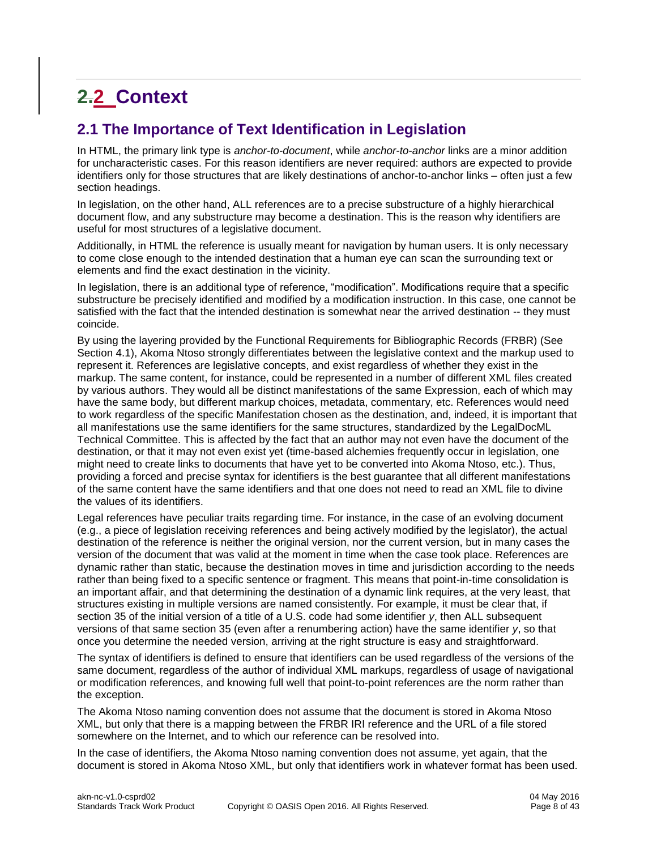# <span id="page-7-0"></span>**2.2 Context**

### <span id="page-7-1"></span>**2.1 The Importance of Text Identification in Legislation**

In HTML, the primary link type is *anchor-to-document*, while *anchor-to-anchor* links are a minor addition for uncharacteristic cases. For this reason identifiers are never required: authors are expected to provide identifiers only for those structures that are likely destinations of anchor-to-anchor links – often just a few section headings.

In legislation, on the other hand, ALL references are to a precise substructure of a highly hierarchical document flow, and any substructure may become a destination. This is the reason why identifiers are useful for most structures of a legislative document.

Additionally, in HTML the reference is usually meant for navigation by human users. It is only necessary to come close enough to the intended destination that a human eye can scan the surrounding text or elements and find the exact destination in the vicinity.

In legislation, there is an additional type of reference, "modification". Modifications require that a specific substructure be precisely identified and modified by a modification instruction. In this case, one cannot be satisfied with the fact that the intended destination is somewhat near the arrived destination -- they must coincide.

By using the layering provided by the Functional Requirements for Bibliographic Records (FRBR) (See Section 4.1), Akoma Ntoso strongly differentiates between the legislative context and the markup used to represent it. References are legislative concepts, and exist regardless of whether they exist in the markup. The same content, for instance, could be represented in a number of different XML files created by various authors. They would all be distinct manifestations of the same Expression, each of which may have the same body, but different markup choices, metadata, commentary, etc. References would need to work regardless of the specific Manifestation chosen as the destination, and, indeed, it is important that all manifestations use the same identifiers for the same structures, standardized by the LegalDocML Technical Committee. This is affected by the fact that an author may not even have the document of the destination, or that it may not even exist yet (time-based alchemies frequently occur in legislation, one might need to create links to documents that have yet to be converted into Akoma Ntoso, etc.). Thus, providing a forced and precise syntax for identifiers is the best guarantee that all different manifestations of the same content have the same identifiers and that one does not need to read an XML file to divine the values of its identifiers.

Legal references have peculiar traits regarding time. For instance, in the case of an evolving document (e.g., a piece of legislation receiving references and being actively modified by the legislator), the actual destination of the reference is neither the original version, nor the current version, but in many cases the version of the document that was valid at the moment in time when the case took place. References are dynamic rather than static, because the destination moves in time and jurisdiction according to the needs rather than being fixed to a specific sentence or fragment. This means that point-in-time consolidation is an important affair, and that determining the destination of a dynamic link requires, at the very least, that structures existing in multiple versions are named consistently. For example, it must be clear that, if section 35 of the initial version of a title of a U.S. code had some identifier *y*, then ALL subsequent versions of that same section 35 (even after a renumbering action) have the same identifier *y*, so that once you determine the needed version, arriving at the right structure is easy and straightforward.

The syntax of identifiers is defined to ensure that identifiers can be used regardless of the versions of the same document, regardless of the author of individual XML markups, regardless of usage of navigational or modification references, and knowing full well that point-to-point references are the norm rather than the exception.

The Akoma Ntoso naming convention does not assume that the document is stored in Akoma Ntoso XML, but only that there is a mapping between the FRBR IRI reference and the URL of a file stored somewhere on the Internet, and to which our reference can be resolved into.

In the case of identifiers, the Akoma Ntoso naming convention does not assume, yet again, that the document is stored in Akoma Ntoso XML, but only that identifiers work in whatever format has been used.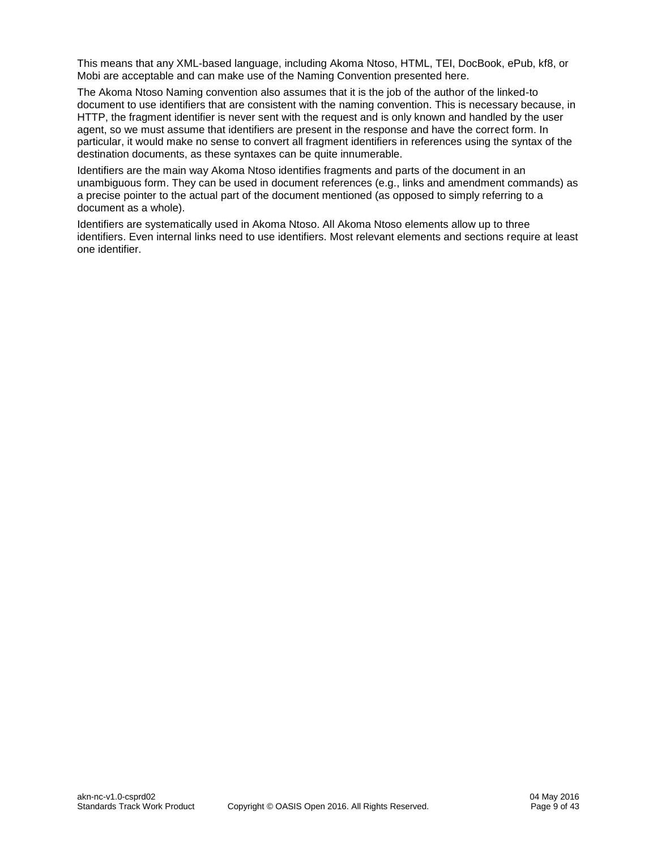This means that any XML-based language, including Akoma Ntoso, HTML, TEI, DocBook, ePub, kf8, or Mobi are acceptable and can make use of the Naming Convention presented here.

The Akoma Ntoso Naming convention also assumes that it is the job of the author of the linked-to document to use identifiers that are consistent with the naming convention. This is necessary because, in HTTP, the fragment identifier is never sent with the request and is only known and handled by the user agent, so we must assume that identifiers are present in the response and have the correct form. In particular, it would make no sense to convert all fragment identifiers in references using the syntax of the destination documents, as these syntaxes can be quite innumerable.

Identifiers are the main way Akoma Ntoso identifies fragments and parts of the document in an unambiguous form. They can be used in document references (e.g., links and amendment commands) as a precise pointer to the actual part of the document mentioned (as opposed to simply referring to a document as a whole).

Identifiers are systematically used in Akoma Ntoso. All Akoma Ntoso elements allow up to three identifiers. Even internal links need to use identifiers. Most relevant elements and sections require at least one identifier.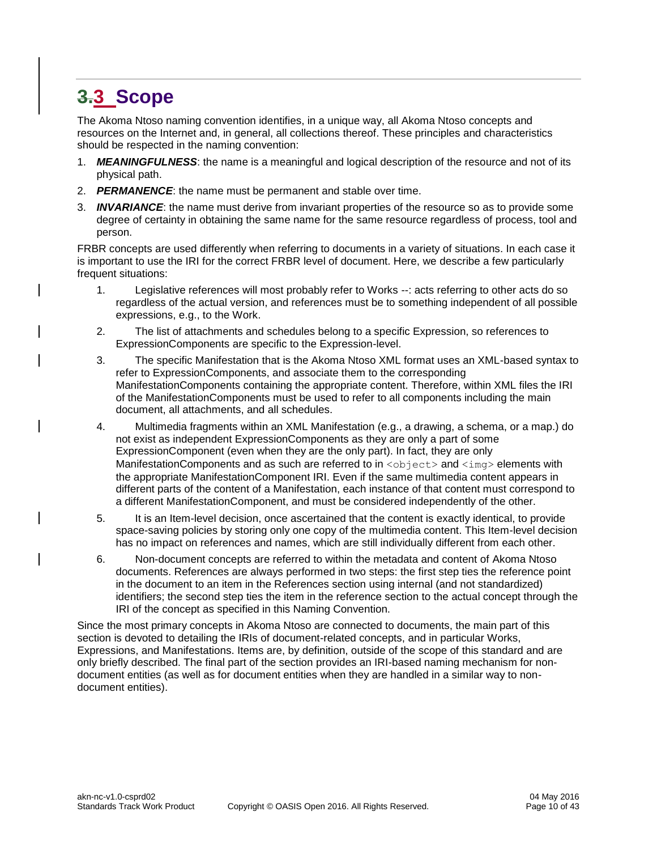# <span id="page-9-0"></span>**3.3 Scope**

The Akoma Ntoso naming convention identifies, in a unique way, all Akoma Ntoso concepts and resources on the Internet and, in general, all collections thereof. These principles and characteristics should be respected in the naming convention:

- 1. *MEANINGFULNESS*: the name is a meaningful and logical description of the resource and not of its physical path.
- 2. *PERMANENCE*: the name must be permanent and stable over time.
- 3. *INVARIANCE*: the name must derive from invariant properties of the resource so as to provide some degree of certainty in obtaining the same name for the same resource regardless of process, tool and person.

FRBR concepts are used differently when referring to documents in a variety of situations. In each case it is important to use the IRI for the correct FRBR level of document. Here, we describe a few particularly frequent situations:

- 1. Legislative references will most probably refer to Works --: acts referring to other acts do so regardless of the actual version, and references must be to something independent of all possible expressions, e.g., to the Work.
- 2. The list of attachments and schedules belong to a specific Expression, so references to ExpressionComponents are specific to the Expression-level.
- 3. The specific Manifestation that is the Akoma Ntoso XML format uses an XML-based syntax to refer to ExpressionComponents, and associate them to the corresponding ManifestationComponents containing the appropriate content. Therefore, within XML files the IRI of the ManifestationComponents must be used to refer to all components including the main document, all attachments, and all schedules.
- 4. Multimedia fragments within an XML Manifestation (e.g., a drawing, a schema, or a map.) do not exist as independent ExpressionComponents as they are only a part of some ExpressionComponent (even when they are the only part). In fact, they are only ManifestationComponents and as such are referred to in  $\langle$ object> and  $\langle$ imq> elements with the appropriate ManifestationComponent IRI. Even if the same multimedia content appears in different parts of the content of a Manifestation, each instance of that content must correspond to a different ManifestationComponent, and must be considered independently of the other.
- 5. It is an Item-level decision, once ascertained that the content is exactly identical, to provide space-saving policies by storing only one copy of the multimedia content. This Item-level decision has no impact on references and names, which are still individually different from each other.
- 6. Non-document concepts are referred to within the metadata and content of Akoma Ntoso documents. References are always performed in two steps: the first step ties the reference point in the document to an item in the References section using internal (and not standardized) identifiers; the second step ties the item in the reference section to the actual concept through the IRI of the concept as specified in this Naming Convention.

Since the most primary concepts in Akoma Ntoso are connected to documents, the main part of this section is devoted to detailing the IRIs of document-related concepts, and in particular Works, Expressions, and Manifestations. Items are, by definition, outside of the scope of this standard and are only briefly described. The final part of the section provides an IRI-based naming mechanism for nondocument entities (as well as for document entities when they are handled in a similar way to nondocument entities).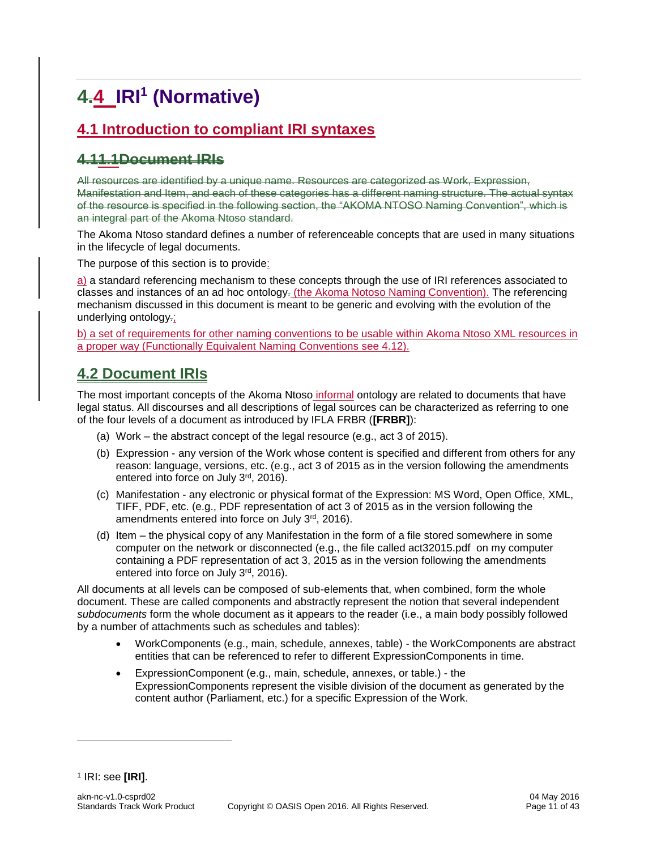# <span id="page-10-0"></span>**4.4 IRI<sup>1</sup> (Normative)**

## <span id="page-10-1"></span>**4.1 Introduction to compliant IRI syntaxes**

### **4.11.1Document IRIs**

All resources are identified by a unique name. Resources are categorized as Work, Expression, Manifestation and Item, and each of these categories has a different naming structure. The actual syntax of the resource is specified in the following section, the "AKOMA NTOSO Naming Convention", which is an integral part of the Akoma Ntoso standard.

The Akoma Ntoso standard defines a number of referenceable concepts that are used in many situations in the lifecycle of legal documents.

The purpose of this section is to provide:

a) a standard referencing mechanism to these concepts through the use of IRI references associated to classes and instances of an ad hoc ontology. (the Akoma Notoso Naming Convention). The referencing mechanism discussed in this document is meant to be generic and evolving with the evolution of the underlying ontology.;

b) a set of requirements for other naming conventions to be usable within Akoma Ntoso XML resources in a proper way (Functionally Equivalent Naming Conventions see 4.12).

### <span id="page-10-2"></span>**4.2 Document IRIs**

The most important concepts of the Akoma Ntoso informal ontology are related to documents that have legal status. All discourses and all descriptions of legal sources can be characterized as referring to one of the four levels of a document as introduced by IFLA FRBR (**[FRBR]**):

- (a) Work the abstract concept of the legal resource (e.g., act 3 of 2015).
- (b) Expression any version of the Work whose content is specified and different from others for any reason: language, versions, etc. (e.g., act 3 of 2015 as in the version following the amendments entered into force on July 3rd, 2016).
- (c) Manifestation any electronic or physical format of the Expression: MS Word, Open Office, XML, TIFF, PDF, etc. (e.g., PDF representation of act 3 of 2015 as in the version following the amendments entered into force on July 3rd, 2016).
- (d) Item the physical copy of any Manifestation in the form of a file stored somewhere in some computer on the network or disconnected (e.g., the file called act32015.pdf on my computer containing a PDF representation of act 3, 2015 as in the version following the amendments entered into force on July 3rd, 2016).

All documents at all levels can be composed of sub-elements that, when combined, form the whole document. These are called components and abstractly represent the notion that several independent *subdocuments* form the whole document as it appears to the reader (i.e., a main body possibly followed by a number of attachments such as schedules and tables):

- WorkComponents (e.g., main, schedule, annexes, table) the WorkComponents are abstract entities that can be referenced to refer to different ExpressionComponents in time.
- ExpressionComponent (e.g., main, schedule, annexes, or table.) the ExpressionComponents represent the visible division of the document as generated by the content author (Parliament, etc.) for a specific Expression of the Work.

l

<sup>1</sup> IRI: see **[IRI]**.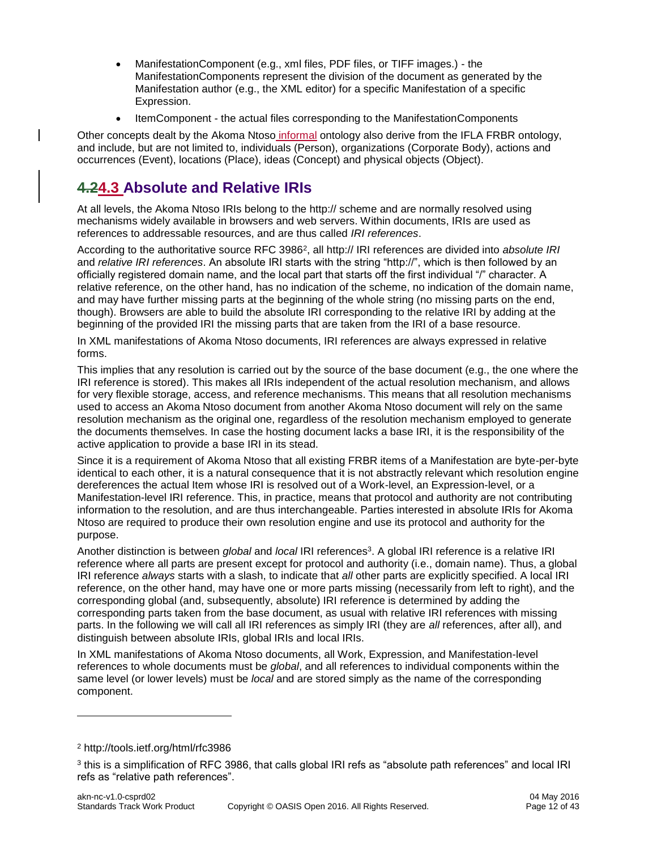- ManifestationComponent (e.g., xml files, PDF files, or TIFF images.) the ManifestationComponents represent the division of the document as generated by the Manifestation author (e.g., the XML editor) for a specific Manifestation of a specific Expression.
- ItemComponent the actual files corresponding to the ManifestationComponents

Other concepts dealt by the Akoma Ntoso informal ontology also derive from the IFLA FRBR ontology, and include, but are not limited to, individuals (Person), organizations (Corporate Body), actions and occurrences (Event), locations (Place), ideas (Concept) and physical objects (Object).

### <span id="page-11-0"></span>**4.24.3 Absolute and Relative IRIs**

At all levels, the Akoma Ntoso IRIs belong to the http:// scheme and are normally resolved using mechanisms widely available in browsers and web servers. Within documents, IRIs are used as references to addressable resources, and are thus called *IRI references*.

According to the authoritative source RFC 3986<sup>2</sup>, all http:// IRI references are divided into *absolute IRI* and *relative IRI references*. An absolute IRI starts with the string "http://", which is then followed by an officially registered domain name, and the local part that starts off the first individual "/" character. A relative reference, on the other hand, has no indication of the scheme, no indication of the domain name, and may have further missing parts at the beginning of the whole string (no missing parts on the end, though). Browsers are able to build the absolute IRI corresponding to the relative IRI by adding at the beginning of the provided IRI the missing parts that are taken from the IRI of a base resource.

In XML manifestations of Akoma Ntoso documents, IRI references are always expressed in relative forms.

This implies that any resolution is carried out by the source of the base document (e.g., the one where the IRI reference is stored). This makes all IRIs independent of the actual resolution mechanism, and allows for very flexible storage, access, and reference mechanisms. This means that all resolution mechanisms used to access an Akoma Ntoso document from another Akoma Ntoso document will rely on the same resolution mechanism as the original one, regardless of the resolution mechanism employed to generate the documents themselves. In case the hosting document lacks a base IRI, it is the responsibility of the active application to provide a base IRI in its stead.

Since it is a requirement of Akoma Ntoso that all existing FRBR items of a Manifestation are byte-per-byte identical to each other, it is a natural consequence that it is not abstractly relevant which resolution engine dereferences the actual Item whose IRI is resolved out of a Work-level, an Expression-level, or a Manifestation-level IRI reference. This, in practice, means that protocol and authority are not contributing information to the resolution, and are thus interchangeable. Parties interested in absolute IRIs for Akoma Ntoso are required to produce their own resolution engine and use its protocol and authority for the purpose.

Another distinction is between *global* and *local* IRI references<sup>3</sup> . A global IRI reference is a relative IRI reference where all parts are present except for protocol and authority (i.e., domain name). Thus, a global IRI reference *always* starts with a slash, to indicate that *all* other parts are explicitly specified. A local IRI reference, on the other hand, may have one or more parts missing (necessarily from left to right), and the corresponding global (and, subsequently, absolute) IRI reference is determined by adding the corresponding parts taken from the base document, as usual with relative IRI references with missing parts. In the following we will call all IRI references as simply IRI (they are *all* references, after all), and distinguish between absolute IRIs, global IRIs and local IRIs.

In XML manifestations of Akoma Ntoso documents, all Work, Expression, and Manifestation-level references to whole documents must be *global*, and all references to individual components within the same level (or lower levels) must be *local* and are stored simply as the name of the corresponding component.

l

<sup>2</sup> <http://tools.ietf.org/html/rfc3986>

 $^3$  this is a simplification of RFC 3986, that calls global IRI refs as "absolute path references" and local IRI  $\,$ refs as "relative path references".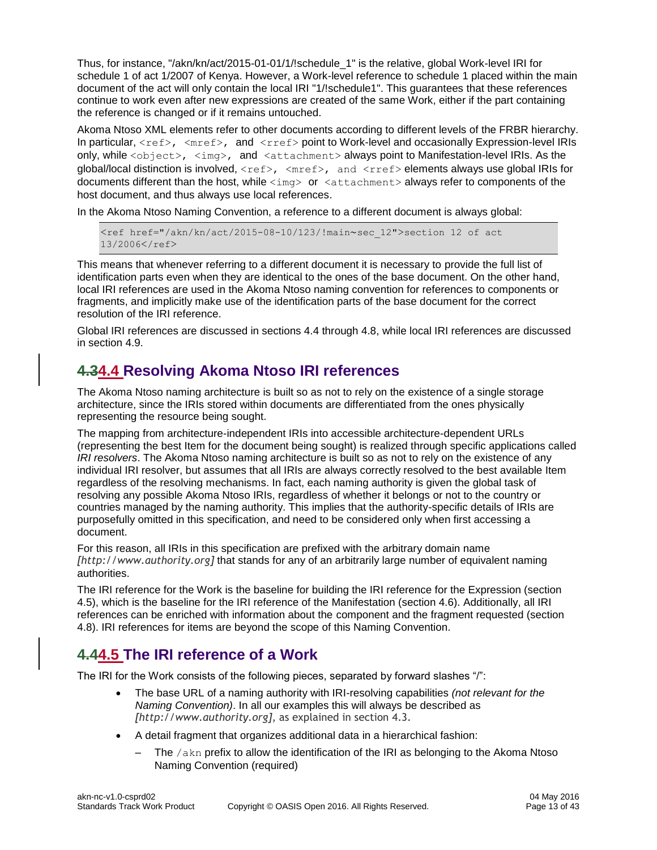Thus, for instance, "/akn/kn/act/2015-01-01/1/!schedule\_1" is the relative, global Work-level IRI for schedule 1 of act 1/2007 of Kenya. However, a Work-level reference to schedule 1 placed within the main document of the act will only contain the local IRI "1/!schedule1". This guarantees that these references continue to work even after new expressions are created of the same Work, either if the part containing the reference is changed or if it remains untouched.

Akoma Ntoso XML elements refer to other documents according to different levels of the FRBR hierarchy. In particular,  $\langle \text{ref} \rangle$ ,  $\langle \text{mref} \rangle$ , and  $\langle \text{rref} \rangle$  point to Work-level and occasionally Expression-level IRIs only, while <object>, <img>, and <attachment> always point to Manifestation-level IRIs. As the global/local distinction is involved,  $\langle$ ref>,  $\langle$ mref>, and  $\langle$ rref> elements always use global IRIs for documents different than the host, while <img> or <attachment> always refer to components of the host document, and thus always use local references.

In the Akoma Ntoso Naming Convention, a reference to a different document is always global:

```
<ref href="/akn/kn/act/2015-08-10/123/!main~sec_12">section 12 of act 
13/2006</ref>
```
This means that whenever referring to a different document it is necessary to provide the full list of identification parts even when they are identical to the ones of the base document. On the other hand, local IRI references are used in the Akoma Ntoso naming convention for references to components or fragments, and implicitly make use of the identification parts of the base document for the correct resolution of the IRI reference.

Global IRI references are discussed in sections 4.4 through 4.8, while local IRI references are discussed in section 4.9.

### <span id="page-12-0"></span>**4.34.4 Resolving Akoma Ntoso IRI references**

The Akoma Ntoso naming architecture is built so as not to rely on the existence of a single storage architecture, since the IRIs stored within documents are differentiated from the ones physically representing the resource being sought.

The mapping from architecture-independent IRIs into accessible architecture-dependent URLs (representing the best Item for the document being sought) is realized through specific applications called *IRI resolvers*. The Akoma Ntoso naming architecture is built so as not to rely on the existence of any individual IRI resolver, but assumes that all IRIs are always correctly resolved to the best available Item regardless of the resolving mechanisms. In fact, each naming authority is given the global task of resolving any possible Akoma Ntoso IRIs, regardless of whether it belongs or not to the country or countries managed by the naming authority. This implies that the authority-specific details of IRIs are purposefully omitted in this specification, and need to be considered only when first accessing a document.

For this reason, all IRIs in this specification are prefixed with the arbitrary domain name *[http://www.authority.org]* that stands for any of an arbitrarily large number of equivalent naming authorities.

The IRI reference for the Work is the baseline for building the IRI reference for the Expression (section 4.5), which is the baseline for the IRI reference of the Manifestation (section 4.6). Additionally, all IRI references can be enriched with information about the component and the fragment requested (section 4.8). IRI references for items are beyond the scope of this Naming Convention.

### <span id="page-12-1"></span>**4.44.5 The IRI reference of a Work**

The IRI for the Work consists of the following pieces, separated by forward slashes "/":

- The base URL of a naming authority with IRI-resolving capabilities *(not relevant for the Naming Convention)*. In all our examples this will always be described as *[http://www.authority.org]*, as explained in section 4.3.
- A detail fragment that organizes additional data in a hierarchical fashion:
	- The  $/akn$  prefix to allow the identification of the IRI as belonging to the Akoma Ntoso Naming Convention (required)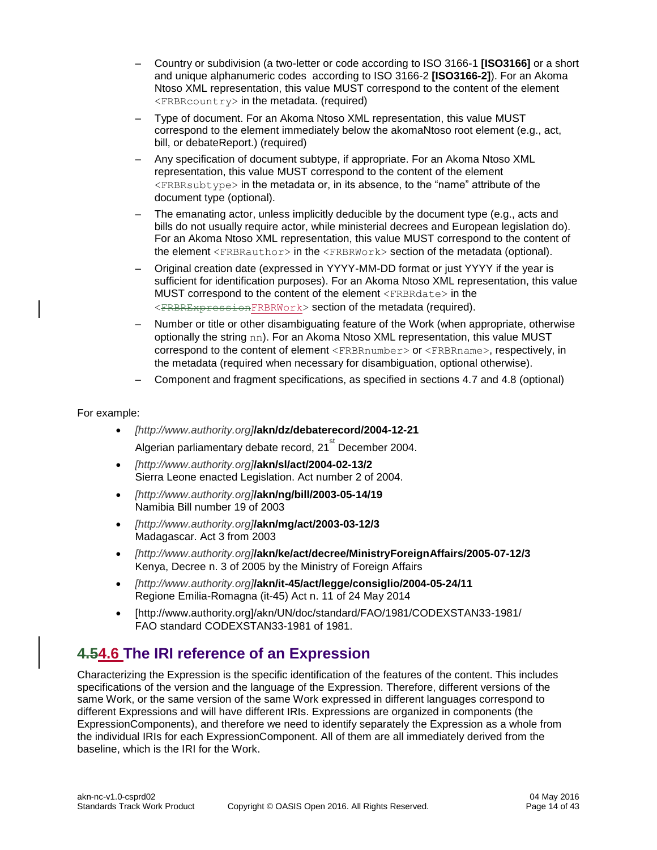- Country or subdivision (a two-letter or code according to ISO 3166-1 **[ISO3166]** or a short and unique alphanumeric codes according to ISO 3166-2 **[ISO3166-2]**). For an Akoma Ntoso XML representation, this value MUST correspond to the content of the element <FRBRcountry> in the metadata. (required)
- Type of document. For an Akoma Ntoso XML representation, this value MUST correspond to the element immediately below the akomaNtoso root element (e.g., act, bill, or debateReport.) (required)
- Any specification of document subtype, if appropriate. For an Akoma Ntoso XML representation, this value MUST correspond to the content of the element <FRBRsubtype> in the metadata or, in its absence, to the "name" attribute of the document type (optional).
- The emanating actor, unless implicitly deducible by the document type (e.g., acts and bills do not usually require actor, while ministerial decrees and European legislation do). For an Akoma Ntoso XML representation, this value MUST correspond to the content of the element <FRBRauthor> in the <FRBRWork> section of the metadata (optional).
- Original creation date (expressed in YYYY-MM-DD format or just YYYY if the year is sufficient for identification purposes). For an Akoma Ntoso XML representation, this value MUST correspond to the content of the element <FRBRdate> in the <FRBRExpressionFRBRWork> section of the metadata (required).
- Number or title or other disambiguating feature of the Work (when appropriate, otherwise optionally the string nn). For an Akoma Ntoso XML representation, this value MUST correspond to the content of element <FRBRnumber> or <FRBRname>, respectively, in the metadata (required when necessary for disambiguation, optional otherwise).
- Component and fragment specifications, as specified in sections 4.7 and 4.8 (optional)

#### For example:

- *[http://www.authority.org]***/akn/dz/debaterecord/2004-12-2[1](http://www.authority.org/dz/debaterecord/2004-12-21)** Algerian parliamentary debate record, 21<sup>st</sup> December 2004.
- *[http://www.authority.org]***/akn/sl/act/2004-02-13/[2](http://www.authority.org/sl/act/2004-02-13/2)** Sierra Leone enacted Legislation. Act number 2 of 2004.
- *[http://www.authority.org]***/akn/ng/bill/2003-05-14/1[9](http://www.authority.org/ng/bill/2003-05-14/19)** Namibia Bill number 19 of 2003
- *[http://www.authority.org]***/akn/mg/act/2003-03-12/[3](http://www.authority.org/mg/act/2003-03-12/3)** Madagascar. Act 3 from 2003
- *[http://www.authority.org]***/akn/ke/act/decree/MinistryForeignAffairs/2005-07-12/3** Kenya, Decree n. 3 of 2005 by the Ministry of Foreign Affairs
- *[http://www.authority.org]***/akn/it-45/act/legge/consiglio/2004-05-24/11** Regione Emilia-Romagna (it-45) Act n. 11 of 24 May 2014
- [http://www.authority.org]/akn/UN/doc/standard/FAO/1981/CODEXSTAN33-1981/ FAO standard CODEXSTAN33-1981 of 1981.

### <span id="page-13-0"></span>**4.54.6 The IRI reference of an Expression**

Characterizing the Expression is the specific identification of the features of the content. This includes specifications of the version and the language of the Expression. Therefore, different versions of the same Work, or the same version of the same Work expressed in different languages correspond to different Expressions and will have different IRIs. Expressions are organized in components (the ExpressionComponents), and therefore we need to identify separately the Expression as a whole from the individual IRIs for each ExpressionComponent. All of them are all immediately derived from the baseline, which is the IRI for the Work.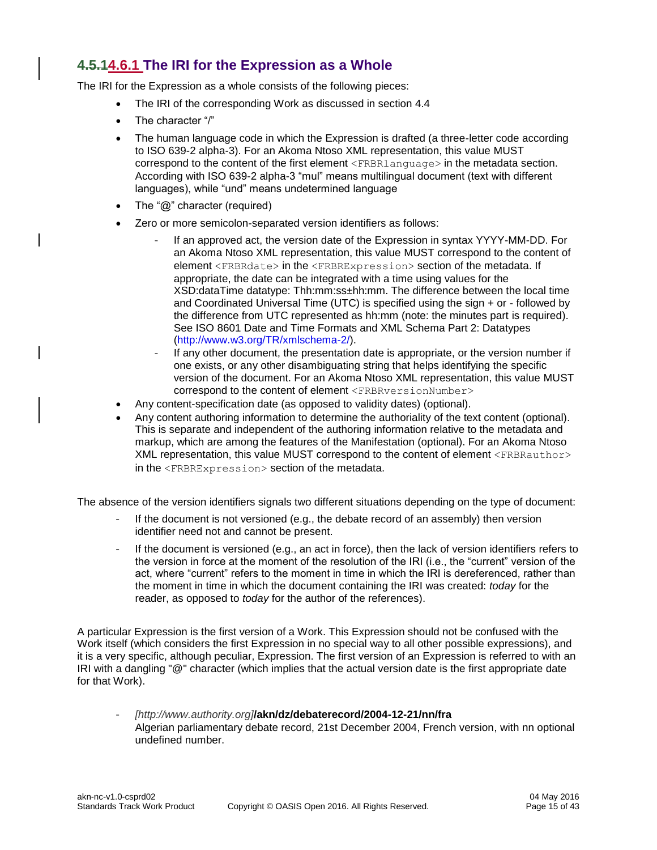#### <span id="page-14-0"></span>**4.5.14.6.1 The IRI for the Expression as a Whole**

The IRI for the Expression as a whole consists of the following pieces:

- The IRI of the corresponding Work as discussed in section 4.4
- The character "/"
- The human language code in which the Expression is drafted (a three-letter code according to ISO 639-2 alpha-3). For an Akoma Ntoso XML representation, this value MUST correspond to the content of the first element <FRBRlanguage> in the metadata section. According with ISO 639-2 alpha-3 "mul" means multilingual document (text with different languages), while "und" means undetermined language
- The " $@$ " character (required)
- Zero or more semicolon-separated version identifiers as follows:
	- If an approved act, the version date of the Expression in syntax YYYY-MM-DD. For an Akoma Ntoso XML representation, this value MUST correspond to the content of element <FRBRdate> in the <FRBRExpression> section of the metadata. If appropriate, the date can be integrated with a time using values for the XSD:dataTime datatype: Thh:mm:ss±hh:mm. The difference between the local time and Coordinated Universal Time (UTC) is specified using the sign + or - followed by the difference from UTC represented as hh:mm (note: the minutes part is required). See ISO 8601 Date and Time Formats and XML Schema Part 2: Datatypes [\(http://www.w3.org/TR/xmlschema-2/\)](http://www.w3.org/TR/xmlschema-2/).
	- If any other document, the presentation date is appropriate, or the version number if one exists, or any other disambiguating string that helps identifying the specific version of the document. For an Akoma Ntoso XML representation, this value MUST correspond to the content of element <FRBRversionNumber>
- Any content-specification date (as opposed to validity dates) (optional).
- Any content authoring information to determine the authoriality of the text content (optional). This is separate and independent of the authoring information relative to the metadata and markup, which are among the features of the Manifestation (optional). For an Akoma Ntoso XML representation, this value MUST correspond to the content of element <FRBRauthor> in the <FRBRExpression> section of the metadata.

The absence of the version identifiers signals two different situations depending on the type of document:

- If the document is not versioned (e.g., the debate record of an assembly) then version identifier need not and cannot be present.
- If the document is versioned (e.g., an act in force), then the lack of version identifiers refers to the version in force at the moment of the resolution of the IRI (i.e., the "current" version of the act, where "current" refers to the moment in time in which the IRI is dereferenced, rather than the moment in time in which the document containing the IRI was created: *today* for the reader, as opposed to *today* for the author of the references).

A particular Expression is the first version of a Work. This Expression should not be confused with the Work itself (which considers the first Expression in no special way to all other possible expressions), and it is a very specific, although peculiar, Expression. The first version of an Expression is referred to with an IRI with a dangling "@" character (which implies that the actual version date is the first appropriate date for that Work).

- *[http://www.authority.org]***/akn/dz/debaterecord/2004-12-21/nn/fra** Algerian parliamentary debate record, 21st December 2004, French version, with nn optional undefined number.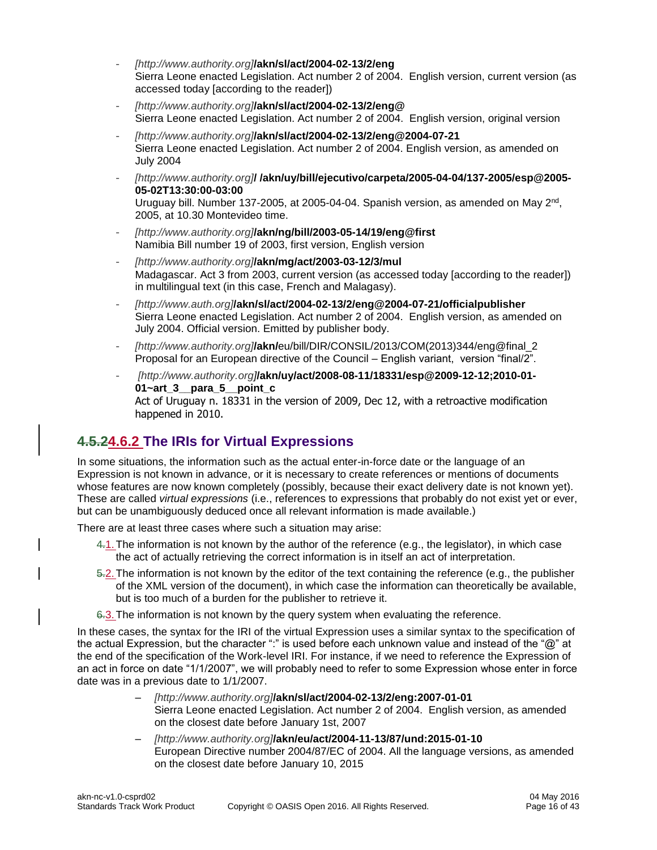- *[http://www.authority.org]***/akn/sl/act/2004-02-13/2/eng** Sierra Leone enacted Legislation. Act number 2 of 2004. English version, current version (as accessed today [according to the reader])
- *[http://www.authority.org]***/akn/sl/act/2004-02-13/2/eng@** Sierra Leone enacted Legislation. Act number 2 of 2004. English version, original version
- *[http://www.authority.org]***/akn/sl/act/2004-02-13/2/eng@2004-07-21** Sierra Leone enacted Legislation. Act number 2 of 2004. English version, as amended on July 2004
- *[http://www.authority.org]***/ /akn/uy/bill/ejecutivo/carpeta/2005-04-04/137-2005/esp@2005- 05-02T13:30:00-03:00** Uruguay bill. Number 137-2005, at 2005-04-04. Spanish version, as amended on May 2<sup>nd</sup>, 2005, at 10.30 Montevideo time.
- *[http://www.authority.org]***/akn/ng/bill/2003-05-14/19/eng@first** Namibia Bill number 19 of 2003, first version, English version
- *[http://www.authority.org]***/akn/mg/act/2003-03-12/3/mul** Madagascar. Act 3 from 2003, current version (as accessed today [according to the reader]) in multilingual text (in this case, French and Malagasy).
- *[http://www.auth.org]***/akn/sl/act/2004-02-13/2/eng@2004-07-21/officialpublisher** Sierra Leone enacted Legislation. Act number 2 of 2004. English version, as amended on July 2004. Official version. Emitted by publisher body.
- *[http://www.authority.org]***/akn/**eu/bill/DIR/CONSIL/2013/COM(2013)344/eng@final\_2 Proposal for an European directive of the Council – English variant, version "final/2".
- *[http://www.authority.org]***/akn/uy/act/2008-08-11/18331/esp@2009-12-12;2010-01- 01~art\_3\_\_para\_5\_\_point\_c** Act of Uruguay n. 18331 in the version of 2009, Dec 12, with a retroactive modification happened in 2010.

### <span id="page-15-0"></span>**4.5.24.6.2 The IRIs for Virtual Expressions**

In some situations, the information such as the actual enter-in-force date or the language of an Expression is not known in advance, or it is necessary to create references or mentions of documents whose features are now known completely (possibly, because their exact delivery date is not known yet). These are called *virtual expressions* (i.e., references to expressions that probably do not exist yet or ever, but can be unambiguously deduced once all relevant information is made available.)

There are at least three cases where such a situation may arise:

- 4.1.The information is not known by the author of the reference (e.g., the legislator), in which case the act of actually retrieving the correct information is in itself an act of interpretation.
- 5.2.The information is not known by the editor of the text containing the reference (e.g., the publisher of the XML version of the document), in which case the information can theoretically be available, but is too much of a burden for the publisher to retrieve it.
- 6.3. The information is not known by the query system when evaluating the reference.

In these cases, the syntax for the IRI of the virtual Expression uses a similar syntax to the specification of the actual Expression, but the character ":" is used before each unknown value and instead of the "@" at the end of the specification of the Work-level IRI. For instance, if we need to reference the Expression of an act in force on date "1/1/2007", we will probably need to refer to some Expression whose enter in force date was in a previous date to 1/1/2007.

- *[http://www.authority.org]***/akn/sl/act/2004-02-13/2/eng:2007-01-01** Sierra Leone enacted Legislation. Act number 2 of 2004. English version, as amended on the closest date before January 1st, 2007
- *[http://www.authority.org]***/akn/eu/act/2004-11-13/87/und:2015-01-10** European Directive number 2004/87/EC of 2004. All the language versions, as amended on the closest date before January 10, 2015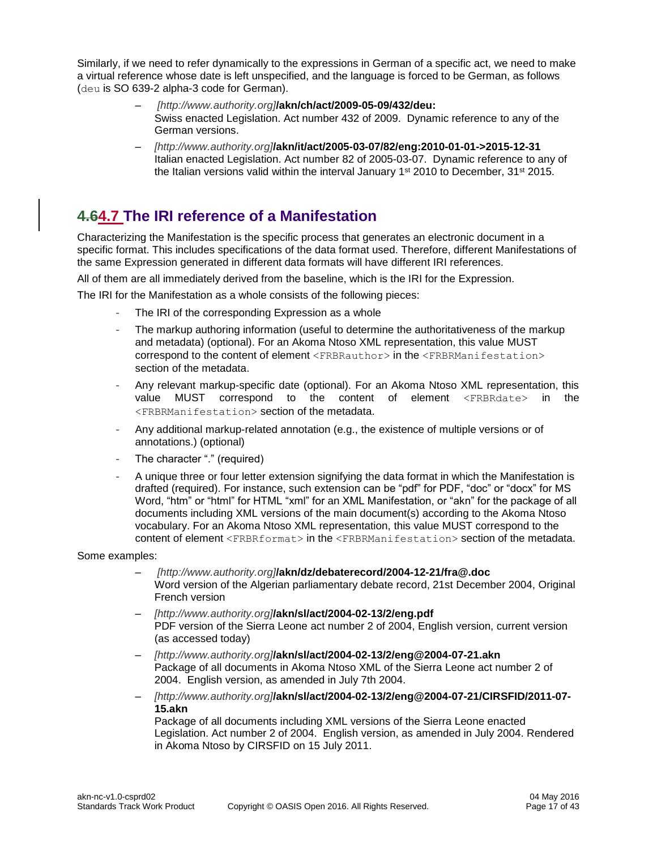Similarly, if we need to refer dynamically to the expressions in German of a specific act, we need to make a virtual reference whose date is left unspecified, and the language is forced to be German, as follows (deu is SO 639-2 alpha-3 code for German).

- *[http://www.authority.org]***/akn/ch/act/2009-05-09/432/deu:** Swiss enacted Legislation. Act number 432 of 2009. Dynamic reference to any of the German versions.
- *[http://www.authority.org]***/akn/it/act/2005-03-07/82/eng:2010-01-01->2015-12-31** Italian enacted Legislation. Act number 82 of 2005-03-07. Dynamic reference to any of the Italian versions valid within the interval January 1<sup>st</sup> 2010 to December, 31<sup>st</sup> 2015.

### <span id="page-16-0"></span>**4.64.7 The IRI reference of a Manifestation**

Characterizing the Manifestation is the specific process that generates an electronic document in a specific format. This includes specifications of the data format used. Therefore, different Manifestations of the same Expression generated in different data formats will have different IRI references.

All of them are all immediately derived from the baseline, which is the IRI for the Expression.

The IRI for the Manifestation as a whole consists of the following pieces:

- The IRI of the corresponding Expression as a whole
- The markup authoring information (useful to determine the authoritativeness of the markup and metadata) (optional). For an Akoma Ntoso XML representation, this value MUST correspond to the content of element <FRBRauthor> in the <FRBRManifestation> section of the metadata.
- Any relevant markup-specific date (optional). For an Akoma Ntoso XML representation, this value MUST correspond to the content of element <FRBRdate> in the <FRBRManifestation> section of the metadata.
- Any additional markup-related annotation (e.g., the existence of multiple versions or of annotations.) (optional)
- The character "." (required)
- A unique three or four letter extension signifying the data format in which the Manifestation is drafted (required). For instance, such extension can be "pdf" for PDF, "doc" or "docx" for MS Word, "htm" or "html" for HTML "xml" for an XML Manifestation, or "akn" for the package of all documents including XML versions of the main document(s) according to the Akoma Ntoso vocabulary. For an Akoma Ntoso XML representation, this value MUST correspond to the content of element <FRBRformat> in the <FRBRManifestation> section of the metadata.

Some examples:

- *[http://www.authority.org]***/akn/dz/debaterecord/2004-12-21/fra@.doc** Word version of the Algerian parliamentary debate record, 21st December 2004, Original French version
- *[http://www.authority.org]***/akn/sl/act/2004-02-13/2/eng.pdf** PDF version of the Sierra Leone act number 2 of 2004, English version, current version (as accessed today)
- *[http://www.authority.org]***/akn/sl/act/2004-02-13/2/eng@2004-07-21.akn** Package of all documents in Akoma Ntoso XML of the Sierra Leone act number 2 of 2004. English version, as amended in July 7th 2004.
- *[http://www.authority.org]***/akn/sl/act/2004-02-13/2/eng@2004-07-21/CIRSFID/2011-07- 15.akn**

Package of all documents including XML versions of the Sierra Leone enacted Legislation. Act number 2 of 2004. English version, as amended in July 2004. Rendered in Akoma Ntoso by CIRSFID on 15 July 2011.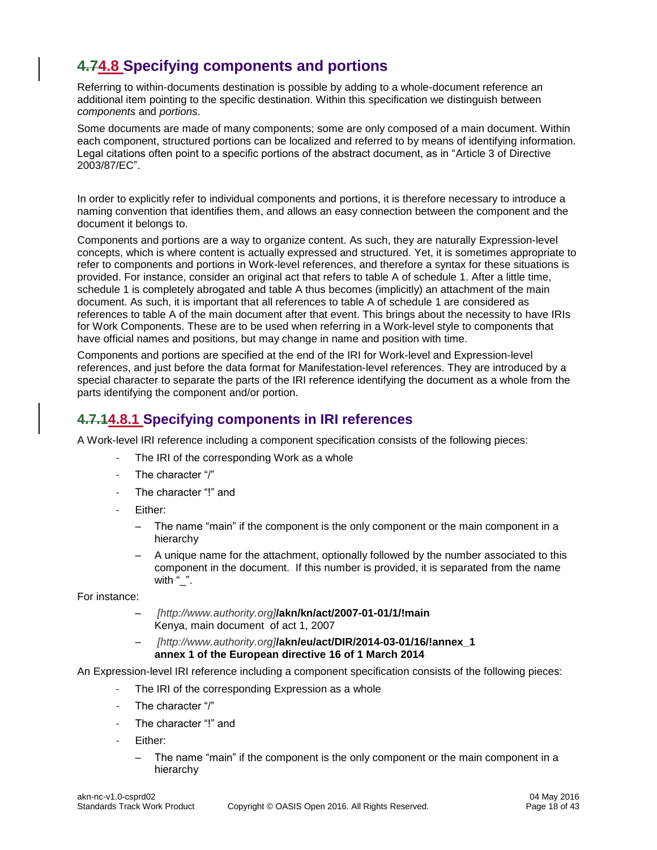### <span id="page-17-0"></span>**4.74.8 Specifying components and portions**

Referring to within-documents destination is possible by adding to a whole-document reference an additional item pointing to the specific destination. Within this specification we distinguish between *components* and *portions*.

Some documents are made of many components; some are only composed of a main document. Within each component, structured portions can be localized and referred to by means of identifying information. Legal citations often point to a specific portions of the abstract document, as in "Article 3 of Directive 2003/87/EC".

In order to explicitly refer to individual components and portions, it is therefore necessary to introduce a naming convention that identifies them, and allows an easy connection between the component and the document it belongs to.

Components and portions are a way to organize content. As such, they are naturally Expression-level concepts, which is where content is actually expressed and structured. Yet, it is sometimes appropriate to refer to components and portions in Work-level references, and therefore a syntax for these situations is provided. For instance, consider an original act that refers to table A of schedule 1. After a little time, schedule 1 is completely abrogated and table A thus becomes (implicitly) an attachment of the main document. As such, it is important that all references to table A of schedule 1 are considered as references to table A of the main document after that event. This brings about the necessity to have IRIs for Work Components. These are to be used when referring in a Work-level style to components that have official names and positions, but may change in name and position with time.

Components and portions are specified at the end of the IRI for Work-level and Expression-level references, and just before the data format for Manifestation-level references. They are introduced by a special character to separate the parts of the IRI reference identifying the document as a whole from the parts identifying the component and/or portion.

#### <span id="page-17-1"></span>**4.7.14.8.1 Specifying components in IRI references**

A Work-level IRI reference including a component specification consists of the following pieces:

- The IRI of the corresponding Work as a whole
- The character "/"
- The character "!" and
- Either:
	- The name "main" if the component is the only component or the main component in a hierarchy
	- A unique name for the attachment, optionally followed by the number associated to this component in the document. If this number is provided, it is separated from the name with  $"$ .

For instance:

- *[http://www.authority.org]***/akn/kn/act/2007-01-01/1/!main** Kenya, main document of act 1, 2007
- *[http://www.authority.org]***/akn/eu/act/DIR/2014-03-01/16/!annex\_1 annex 1 of the European directive 16 of 1 March 2014**

An Expression-level IRI reference including a component specification consists of the following pieces:

- The IRI of the corresponding Expression as a whole
- The character "/"
- The character "I" and
- Either:
	- The name "main" if the component is the only component or the main component in a hierarchy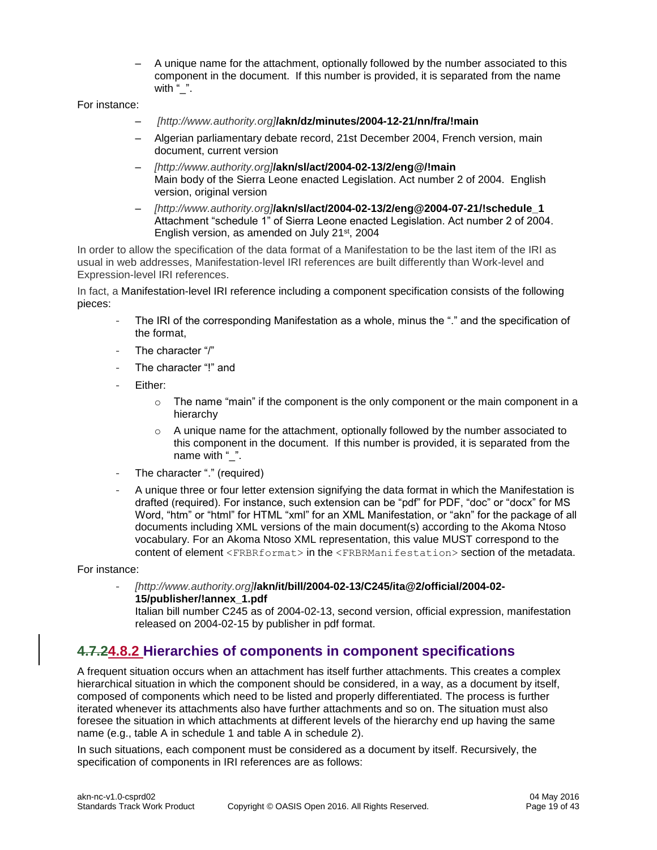– A unique name for the attachment, optionally followed by the number associated to this component in the document. If this number is provided, it is separated from the name with " ".

For instance:

- *[http://www.authority.org]***/akn/dz/minutes/2004-12-21/nn/fra/!main**
- Algerian parliamentary debate record, 21st December 2004, French version, main document, current version
- *[http://www.authority.org]***/akn/sl/act/2004-02-13/2/eng@/!main** Main body of the Sierra Leone enacted Legislation. Act number 2 of 2004. English version, original version
- *[http://www.authority.org]***/akn/sl/act/2004-02-13/2/eng@2004-07-21/!schedule\_1** Attachment "schedule 1" of Sierra Leone enacted Legislation. Act number 2 of 2004. English version, as amended on July 21<sup>st</sup>, 2004

In order to allow the specification of the data format of a Manifestation to be the last item of the IRI as usual in web addresses, Manifestation-level IRI references are built differently than Work-level and Expression-level IRI references.

In fact, a Manifestation-level IRI reference including a component specification consists of the following pieces:

- The IRI of the corresponding Manifestation as a whole, minus the "." and the specification of the format,
- The character "/"
- The character "!" and
- Either:
	- $\circ$  The name "main" if the component is the only component or the main component in a hierarchy
	- $\circ$  A unique name for the attachment, optionally followed by the number associated to this component in the document. If this number is provided, it is separated from the name with "".
- The character "." (required)
- A unique three or four letter extension signifying the data format in which the Manifestation is drafted (required). For instance, such extension can be "pdf" for PDF, "doc" or "docx" for MS Word, "htm" or "html" for HTML "xml" for an XML Manifestation, or "akn" for the package of all documents including XML versions of the main document(s) according to the Akoma Ntoso vocabulary. For an Akoma Ntoso XML representation, this value MUST correspond to the content of element <FRBRformat> in the <FRBRManifestation> section of the metadata.

For instance:

- *[http://www.authority.org]***[/akn/it/bill/2004-02-13/C245/ita@2/official/2004-02-](mailto:/akn/it/bill/2004-02-13/C245/ita@ver_2/official/2004-02-15/publisher/!annex_1/annex_3~art_12.pdf) [15/publisher/!annex\\_1.pdf](mailto:/akn/it/bill/2004-02-13/C245/ita@ver_2/official/2004-02-15/publisher/!annex_1/annex_3~art_12.pdf)**

Italian bill number C245 as of 2004-02-13, second version, official expression, manifestation released on 2004-02-15 by publisher in pdf format.

#### <span id="page-18-0"></span>**4.7.24.8.2 Hierarchies of components in component specifications**

A frequent situation occurs when an attachment has itself further attachments. This creates a complex hierarchical situation in which the component should be considered, in a way, as a document by itself, composed of components which need to be listed and properly differentiated. The process is further iterated whenever its attachments also have further attachments and so on. The situation must also foresee the situation in which attachments at different levels of the hierarchy end up having the same name (e.g., table A in schedule 1 and table A in schedule 2).

In such situations, each component must be considered as a document by itself. Recursively, the specification of components in IRI references are as follows: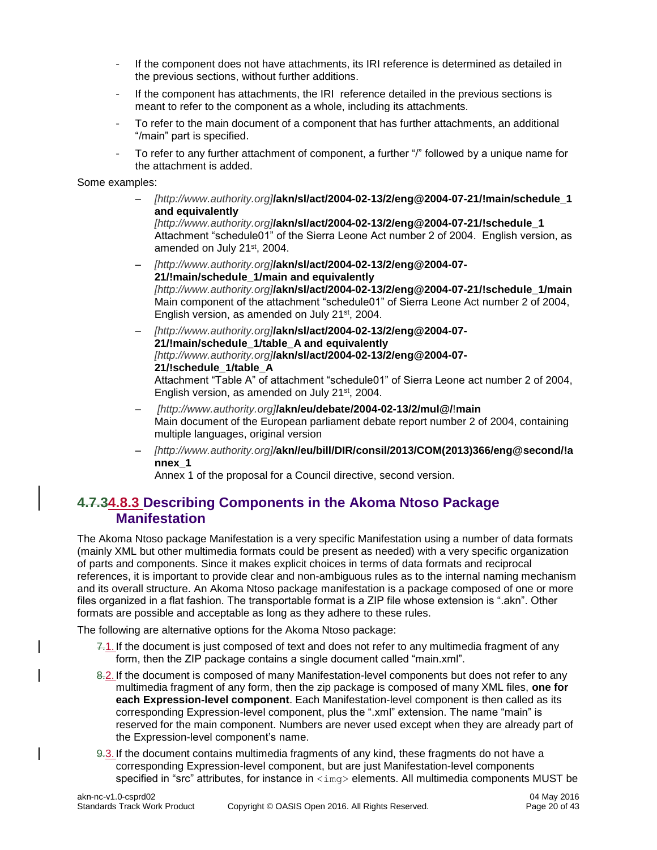- If the component does not have attachments, its IRI reference is determined as detailed in the previous sections, without further additions.
- If the component has attachments, the IRI reference detailed in the previous sections is meant to refer to the component as a whole, including its attachments.
- To refer to the main document of a component that has further attachments, an additional "/main" part is specified.
- To refer to any further attachment of component, a further "/" followed by a unique name for the attachment is added.

Some examples:

– *[http://www.authority.org]***/akn/sl/act/2004-02-13/2/eng@2004-07-21/!main/schedule\_1 and equivalently**

*[http://www.authority.org]***/akn/sl/act/2004-02-13/2/eng@2004-07-21/!schedule\_1** Attachment "schedule01" of the Sierra Leone Act number 2 of 2004. English version, as amended on July 21st, 2004.

– *[http://www.authority.org]***/akn/sl/act/2004-02-13/2/eng@2004-07- 21/!main/schedule\_1/main and equivalently**  *[http://www.authority.org]***/akn/sl/act/2004-02-13/2/eng@2004-07-21/!schedule\_1/main** Main component of the attachment "schedule01" of Sierra Leone Act number 2 of 2004, English version, as amended on July 21<sup>st</sup>, 2004.

– *[http://www.authority.org]***/akn/sl/act/2004-02-13/2/eng@2004-07- 21/!main/schedule\_1/table\_A and equivalently** *[http://www.authority.org]***/akn/sl/act/2004-02-13/2/eng@2004-07- 21/!schedule\_1/table\_A**

Attachment "Table A" of attachment "schedule01" of Sierra Leone act number 2 of 2004, English version, as amended on July 21<sup>st</sup>, 2004.

- *[http://www.authority.org]***/akn/eu/debate/2004-02-13/2/mul@/**!**main** Main document of the European parliament debate report number 2 of 2004, containing multiple languages, original version
- *[http://www.authority.org]/***akn//eu/bill/DIR/consil/2013/COM(2013)366/eng@second/!a nnex\_1**

Annex 1 of the proposal for a Council directive, second version.

#### <span id="page-19-0"></span>**4.7.34.8.3 Describing Components in the Akoma Ntoso Package Manifestation**

The Akoma Ntoso package Manifestation is a very specific Manifestation using a number of data formats (mainly XML but other multimedia formats could be present as needed) with a very specific organization of parts and components. Since it makes explicit choices in terms of data formats and reciprocal references, it is important to provide clear and non-ambiguous rules as to the internal naming mechanism and its overall structure. An Akoma Ntoso package manifestation is a package composed of one or more files organized in a flat fashion. The transportable format is a ZIP file whose extension is ".akn". Other formats are possible and acceptable as long as they adhere to these rules.

The following are alternative options for the Akoma Ntoso package:

- 7.1. If the document is just composed of text and does not refer to any multimedia fragment of any form, then the ZIP package contains a single document called "main.xml".
- 8.2. If the document is composed of many Manifestation-level components but does not refer to any multimedia fragment of any form, then the zip package is composed of many XML files, **one for each Expression-level component**. Each Manifestation-level component is then called as its corresponding Expression-level component, plus the ".xml" extension. The name "main" is reserved for the main component. Numbers are never used except when they are already part of the Expression-level component's name.
- 9.3. If the document contains multimedia fragments of any kind, these fragments do not have a corresponding Expression-level component, but are just Manifestation-level components specified in "src" attributes, for instance in  $\langle\text{imq}\rangle$  elements. All multimedia components MUST be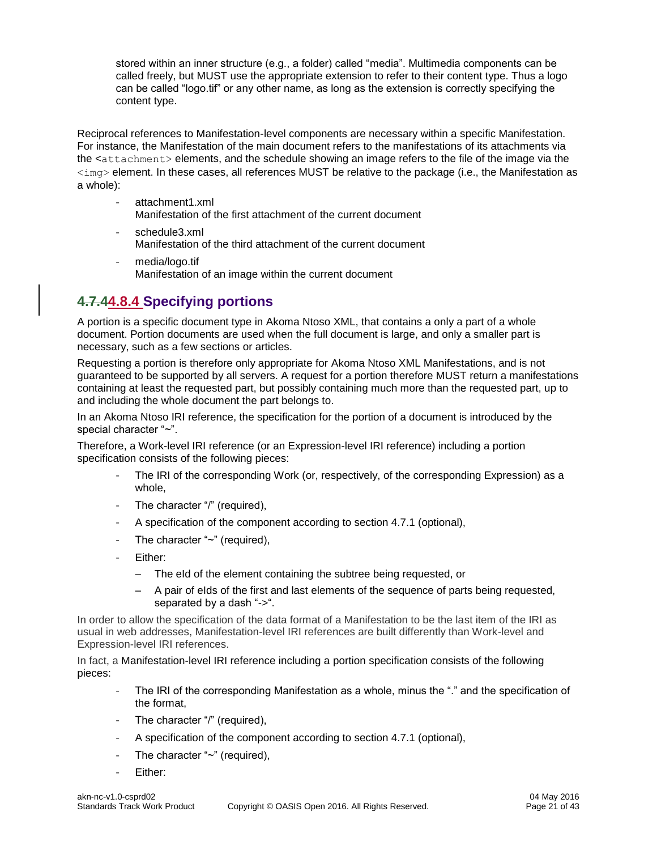stored within an inner structure (e.g., a folder) called "media". Multimedia components can be called freely, but MUST use the appropriate extension to refer to their content type. Thus a logo can be called "logo.tif" or any other name, as long as the extension is correctly specifying the content type.

Reciprocal references to Manifestation-level components are necessary within a specific Manifestation. For instance, the Manifestation of the main document refers to the manifestations of its attachments via the <attachment> elements, and the schedule showing an image refers to the file of the image via the  $\langle 1 \rangle$  element. In these cases, all references MUST be relative to the package (i.e., the Manifestation as a whole):

- attachment1.xml
	- Manifestation of the first attachment of the current document
- schedule3.xml Manifestation of the third attachment of the current document
- media/logo.tif Manifestation of an image within the current document

### <span id="page-20-0"></span>**4.7.44.8.4 Specifying portions**

A portion is a specific document type in Akoma Ntoso XML, that contains a only a part of a whole document. Portion documents are used when the full document is large, and only a smaller part is necessary, such as a few sections or articles.

Requesting a portion is therefore only appropriate for Akoma Ntoso XML Manifestations, and is not guaranteed to be supported by all servers. A request for a portion therefore MUST return a manifestations containing at least the requested part, but possibly containing much more than the requested part, up to and including the whole document the part belongs to.

In an Akoma Ntoso IRI reference, the specification for the portion of a document is introduced by the special character "~".

Therefore, a Work-level IRI reference (or an Expression-level IRI reference) including a portion specification consists of the following pieces:

- The IRI of the corresponding Work (or, respectively, of the corresponding Expression) as a whole,
- The character "/" (required),
- A specification of the component according to section 4.7.1 (optional),
- The character "~" (required),
- Either:
	- The eId of the element containing the subtree being requested, or
	- A pair of eIds of the first and last elements of the sequence of parts being requested, separated by a dash "->".

In order to allow the specification of the data format of a Manifestation to be the last item of the IRI as usual in web addresses, Manifestation-level IRI references are built differently than Work-level and Expression-level IRI references.

In fact, a Manifestation-level IRI reference including a portion specification consists of the following pieces:

- The IRI of the corresponding Manifestation as a whole, minus the "." and the specification of the format,
- The character "/" (required),
- A specification of the component according to section 4.7.1 (optional),
- The character "~" (required),
- Either: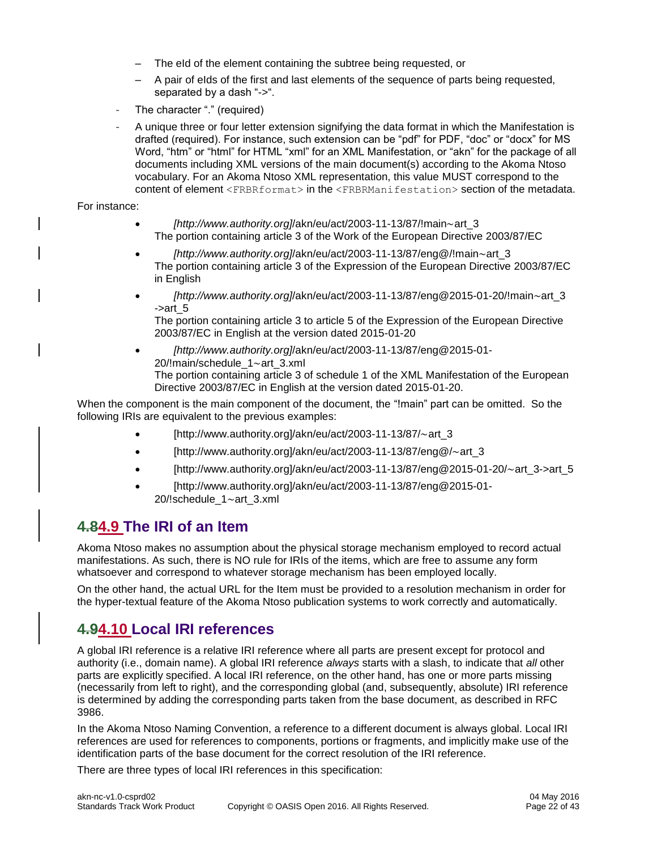- The eId of the element containing the subtree being requested, or
- A pair of eIds of the first and last elements of the sequence of parts being requested, separated by a dash "->".
- The character "." (required)
- A unique three or four letter extension signifying the data format in which the Manifestation is drafted (required). For instance, such extension can be "pdf" for PDF, "doc" or "docx" for MS Word, "htm" or "html" for HTML "xml" for an XML Manifestation, or "akn" for the package of all documents including XML versions of the main document(s) according to the Akoma Ntoso vocabulary. For an Akoma Ntoso XML representation, this value MUST correspond to the content of element <FRBRformat> in the <FRBRManifestation> section of the metadata.

For instance:

- *[http://www.authority.org]*/akn/eu/act/2003-11-13/87/!main~art\_3 The portion containing article 3 of the Work of the European Directive 2003/87/EC
- *[http://www.authority.org]*/akn/eu/act/2003-11-13/87/eng@/!main~art\_3 The portion containing article 3 of the Expression of the European Directive 2003/87/EC in English
- *[http://www.authority.org]*/akn/eu/act/2003-11-13/87/eng@2015-01-20/!main~art\_3  $-$ >art $5$

The portion containing article 3 to article 5 of the Expression of the European Directive 2003/87/EC in English at the version dated 2015-01-20

• *[http://www.authority.org]*/akn/eu/act/2003-11-13/87/eng@2015-01- 20/!main/schedule\_1~art\_3.xml The portion containing article 3 of schedule 1 of the XML Manifestation of the European Directive 2003/87/EC in English at the version dated 2015-01-20.

When the component is the main component of the document, the "!main" part can be omitted. So the following IRIs are equivalent to the previous examples:

- [http://www.authority.org]/akn/eu/act/2003-11-13/87/~art\_3
- [http://www.authority.org]/akn/eu/act/2003-11-13/87/eng@/~art\_3
- [http://www.authority.org]/akn/eu/act/2003-11-13/87/eng@2015-01-20/ $\sim$ art\_3->art\_5
- [http://www.authority.org]/akn/eu/act/2003-11-13/87/eng@2015-01- 20/!schedule\_1~art\_3.xml

### <span id="page-21-0"></span>**4.84.9 The IRI of an Item**

Akoma Ntoso makes no assumption about the physical storage mechanism employed to record actual manifestations. As such, there is NO rule for IRIs of the items, which are free to assume any form whatsoever and correspond to whatever storage mechanism has been employed locally.

On the other hand, the actual URL for the Item must be provided to a resolution mechanism in order for the hyper-textual feature of the Akoma Ntoso publication systems to work correctly and automatically.

#### <span id="page-21-1"></span>**4.94.10 Local IRI references**

A global IRI reference is a relative IRI reference where all parts are present except for protocol and authority (i.e., domain name). A global IRI reference *always* starts with a slash, to indicate that *all* other parts are explicitly specified. A local IRI reference, on the other hand, has one or more parts missing (necessarily from left to right), and the corresponding global (and, subsequently, absolute) IRI reference is determined by adding the corresponding parts taken from the base document, as described in RFC 3986.

In the Akoma Ntoso Naming Convention, a reference to a different document is always global. Local IRI references are used for references to components, portions or fragments, and implicitly make use of the identification parts of the base document for the correct resolution of the IRI reference.

There are three types of local IRI references in this specification: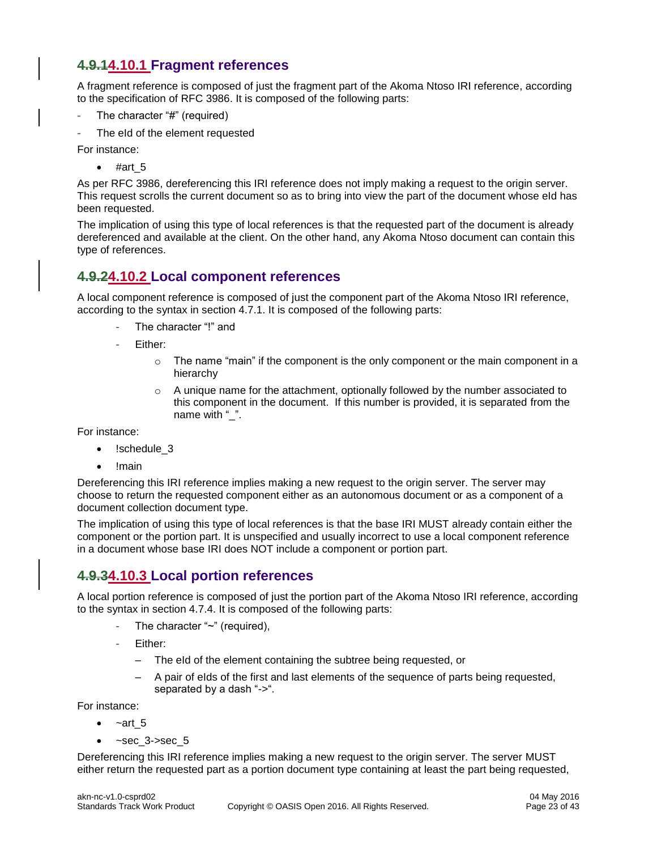#### <span id="page-22-0"></span>**4.9.14.10.1 Fragment references**

A fragment reference is composed of just the fragment part of the Akoma Ntoso IRI reference, according to the specification of RFC 3986. It is composed of the following parts:

- The character "#" (required)
- The eId of the element requested

For instance:

 $•$  #art 5

As per RFC 3986, dereferencing this IRI reference does not imply making a request to the origin server. This request scrolls the current document so as to bring into view the part of the document whose eId has been requested.

The implication of using this type of local references is that the requested part of the document is already dereferenced and available at the client. On the other hand, any Akoma Ntoso document can contain this type of references.

#### <span id="page-22-1"></span>**4.9.24.10.2 Local component references**

A local component reference is composed of just the component part of the Akoma Ntoso IRI reference, according to the syntax in section 4.7.1. It is composed of the following parts:

- The character "!" and
- Either:
	- $\circ$  The name "main" if the component is the only component or the main component in a hierarchy
	- $\circ$  A unique name for the attachment, optionally followed by the number associated to this component in the document. If this number is provided, it is separated from the name with " ".

For instance:

- !schedule 3
- !main

Dereferencing this IRI reference implies making a new request to the origin server. The server may choose to return the requested component either as an autonomous document or as a component of a document collection document type.

The implication of using this type of local references is that the base IRI MUST already contain either the component or the portion part. It is unspecified and usually incorrect to use a local component reference in a document whose base IRI does NOT include a component or portion part.

#### <span id="page-22-2"></span>**4.9.34.10.3 Local portion references**

A local portion reference is composed of just the portion part of the Akoma Ntoso IRI reference, according to the syntax in section 4.7.4. It is composed of the following parts:

- The character "~" (required),
- Either:
	- The eId of the element containing the subtree being requested, or
	- A pair of eIds of the first and last elements of the sequence of parts being requested, separated by a dash "->".

For instance:

- $-art<sub>5</sub>$
- $~$ -sec  $3$ ->sec  $5$

Dereferencing this IRI reference implies making a new request to the origin server. The server MUST either return the requested part as a portion document type containing at least the part being requested,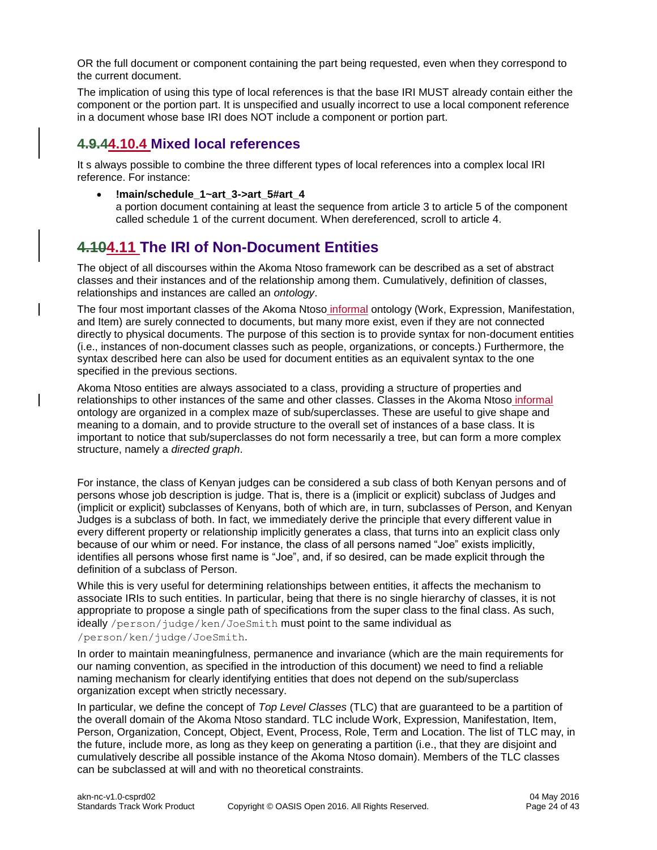OR the full document or component containing the part being requested, even when they correspond to the current document.

The implication of using this type of local references is that the base IRI MUST already contain either the component or the portion part. It is unspecified and usually incorrect to use a local component reference in a document whose base IRI does NOT include a component or portion part.

#### <span id="page-23-0"></span>**4.9.44.10.4 Mixed local references**

It s always possible to combine the three different types of local references into a complex local IRI reference. For instance:

- **!main/schedule\_1~art\_3->art\_5#art\_4**
	- a portion document containing at least the sequence from article 3 to article 5 of the component called schedule 1 of the current document. When dereferenced, scroll to article 4.

### <span id="page-23-1"></span>**4.104.11 The IRI of Non-Document Entities**

The object of all discourses within the Akoma Ntoso framework can be described as a set of abstract classes and their instances and of the relationship among them. Cumulatively, definition of classes, relationships and instances are called an *ontology*.

The four most important classes of the Akoma Ntoso informal ontology (Work, Expression, Manifestation, and Item) are surely connected to documents, but many more exist, even if they are not connected directly to physical documents. The purpose of this section is to provide syntax for non-document entities (i.e., instances of non-document classes such as people, organizations, or concepts.) Furthermore, the syntax described here can also be used for document entities as an equivalent syntax to the one specified in the previous sections.

Akoma Ntoso entities are always associated to a class, providing a structure of properties and relationships to other instances of the same and other classes. Classes in the Akoma Ntoso informal ontology are organized in a complex maze of sub/superclasses. These are useful to give shape and meaning to a domain, and to provide structure to the overall set of instances of a base class. It is important to notice that sub/superclasses do not form necessarily a tree, but can form a more complex structure, namely a *directed graph*.

For instance, the class of Kenyan judges can be considered a sub class of both Kenyan persons and of persons whose job description is judge. That is, there is a (implicit or explicit) subclass of Judges and (implicit or explicit) subclasses of Kenyans, both of which are, in turn, subclasses of Person, and Kenyan Judges is a subclass of both. In fact, we immediately derive the principle that every different value in every different property or relationship implicitly generates a class, that turns into an explicit class only because of our whim or need. For instance, the class of all persons named "Joe" exists implicitly, identifies all persons whose first name is "Joe", and, if so desired, can be made explicit through the definition of a subclass of Person.

While this is very useful for determining relationships between entities, it affects the mechanism to associate IRIs to such entities. In particular, being that there is no single hierarchy of classes, it is not appropriate to propose a single path of specifications from the super class to the final class. As such, ideally /person/judge/ken/JoeSmith must point to the same individual as /person/ken/judge/JoeSmith.

In order to maintain meaningfulness, permanence and invariance (which are the main requirements for our naming convention, as specified in the introduction of this document) we need to find a reliable naming mechanism for clearly identifying entities that does not depend on the sub/superclass organization except when strictly necessary.

In particular, we define the concept of *Top Level Classes* (TLC) that are guaranteed to be a partition of the overall domain of the Akoma Ntoso standard. TLC include Work, Expression, Manifestation, Item, Person, Organization, Concept, Object, Event, Process, Role, Term and Location. The list of TLC may, in the future, include more, as long as they keep on generating a partition (i.e., that they are disjoint and cumulatively describe all possible instance of the Akoma Ntoso domain). Members of the TLC classes can be subclassed at will and with no theoretical constraints.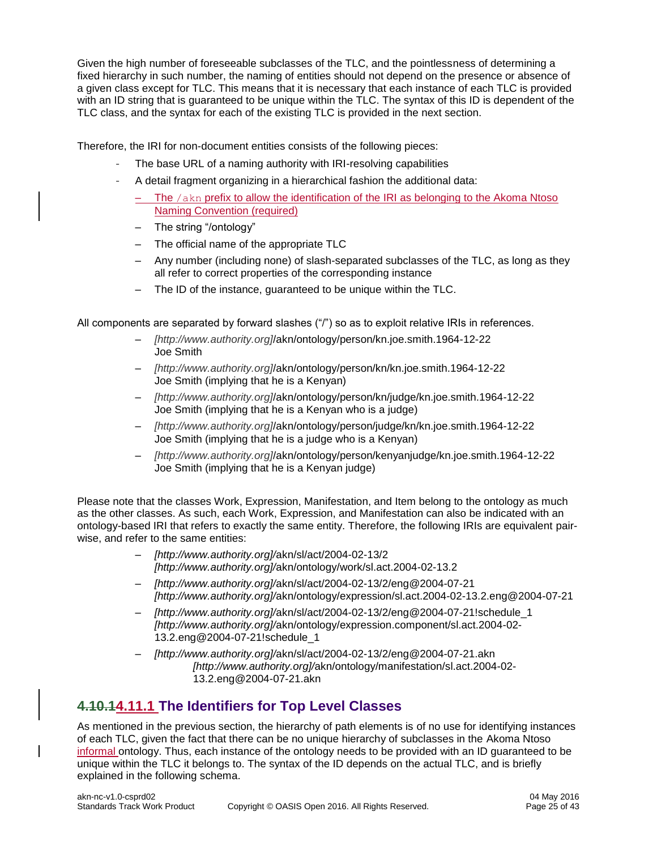Given the high number of foreseeable subclasses of the TLC, and the pointlessness of determining a fixed hierarchy in such number, the naming of entities should not depend on the presence or absence of a given class except for TLC. This means that it is necessary that each instance of each TLC is provided with an ID string that is guaranteed to be unique within the TLC. The syntax of this ID is dependent of the TLC class, and the syntax for each of the existing TLC is provided in the next section.

Therefore, the IRI for non-document entities consists of the following pieces:

- The base URL of a naming authority with IRI-resolving capabilities
- A detail fragment organizing in a hierarchical fashion the additional data:
	- The /akn prefix to allow the identification of the IRI as belonging to the Akoma Ntoso Naming Convention (required)
	- The string "/ontology"
	- The official name of the appropriate TLC
	- Any number (including none) of slash-separated subclasses of the TLC, as long as they all refer to correct properties of the corresponding instance
	- The ID of the instance, guaranteed to be unique within the TLC.

All components are separated by forward slashes ("/") so as to exploit relative IRIs in references.

- *[http://www.authority.org]*/akn/ontology/person/kn.joe.smith.1964-12-22 Joe Smith
- *[http://www.authority.org]*/akn/ontology/person/kn/kn.joe.smith.1964-12-22 Joe Smith (implying that he is a Kenyan)
- *[http://www.authority.org]*/akn/ontology/person/kn/judge/kn.joe.smith.1964-12-22 Joe Smith (implying that he is a Kenyan who is a judge)
- *[http://www.authority.org]*/akn/ontology/person/judge/kn/kn.joe.smith.1964-12-22 Joe Smith (implying that he is a judge who is a Kenyan)
- *[http://www.authority.org]*/akn/ontology/person/kenyanjudge/kn.joe.smith.1964-12-22 Joe Smith (implying that he is a Kenyan judge)

Please note that the classes Work, Expression, Manifestation, and Item belong to the ontology as much as the other classes. As such, each Work, Expression, and Manifestation can also be indicated with an ontology-based IRI that refers to exactly the same entity. Therefore, the following IRIs are equivalent pairwise, and refer to the same entities:

- *[http://www.authority.org]/*akn/sl/act/2004-02-13/2 *[http://www.authority.org]/*akn/ontology/work/sl.act.2004-02-13.2
- *[http://www.authority.org]/*akn/sl/act/2004-02-13/2/eng@2004-07-21 *[http://www.authority.org]/*akn/ontology/expression/sl.act.2004-02-13.2.eng@2004-07-21
- *[http://www.authority.org]/*akn/sl/act/2004-02-13/2/eng@2004-07-21!schedule\_1 *[http://www.authority.org]/*akn/ontology/expression.component/sl.act.2004-02- 13.2.eng@2004-07-21!schedule\_1
- *[http://www.authority.org]/*akn/sl/act/2004-02-13/2/eng@2004-07-21.akn *[http://www.authority.org]/*akn/ontology/manifestation/sl.act.2004-02- 13.2.eng@2004-07-21.akn

### <span id="page-24-0"></span>**4.10.14.11.1 The Identifiers for Top Level Classes**

As mentioned in the previous section, the hierarchy of path elements is of no use for identifying instances of each TLC, given the fact that there can be no unique hierarchy of subclasses in the Akoma Ntoso informal ontology. Thus, each instance of the ontology needs to be provided with an ID guaranteed to be unique within the TLC it belongs to. The syntax of the ID depends on the actual TLC, and is briefly explained in the following schema.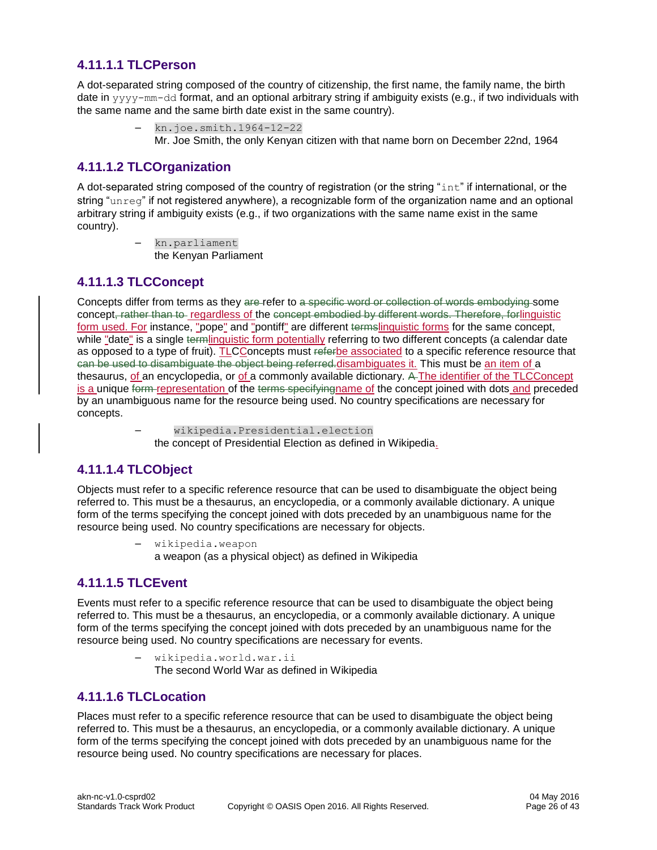#### <span id="page-25-0"></span>**4.11.1.1 TLCPerson**

A dot-separated string composed of the country of citizenship, the first name, the family name, the birth date in yyyy-mm-dd format, and an optional arbitrary string if ambiguity exists (e.g., if two individuals with the same name and the same birth date exist in the same country).

> – kn.joe.smith.1964-12-22 Mr. Joe Smith, the only Kenyan citizen with that name born on December 22nd, 1964

#### <span id="page-25-1"></span>**4.11.1.2 TLCOrganization**

A dot-separated string composed of the country of registration (or the string "int" if international, or the string "unreg" if not registered anywhere), a recognizable form of the organization name and an optional arbitrary string if ambiguity exists (e.g., if two organizations with the same name exist in the same country).

> – kn.parliament the Kenyan Parliament

#### <span id="page-25-2"></span>**4.11.1.3 TLCConcept**

Concepts differ from terms as they are refer to a specific word or collection of words embodying some concept, rather than to regardless of the concept embodied by different words. Therefore, forlinguistic form used. For instance, "pope" and "pontiff" are different termslinguistic forms for the same concept, while "date" is a single termlinguistic form potentially referring to two different concepts (a calendar date as opposed to a type of fruit). TLCConcepts must referbe associated to a specific reference resource that can be used to disambiguate the object being referred.disambiguates it. This must be an item of a thesaurus, of an encyclopedia, or of a commonly available dictionary. A The identifier of the TLCConcept is a unique form representation of the terms specifying name of the concept joined with dots and preceded by an unambiguous name for the resource being used. No country specifications are necessary for concepts.

> – wikipedia.Presidential.election the concept of Presidential Election as defined in Wikipedia.

#### <span id="page-25-3"></span>**4.11.1.4 TLCObject**

Objects must refer to a specific reference resource that can be used to disambiguate the object being referred to. This must be a thesaurus, an encyclopedia, or a commonly available dictionary. A unique form of the terms specifying the concept joined with dots preceded by an unambiguous name for the resource being used. No country specifications are necessary for objects.

> – wikipedia.weapon a weapon (as a physical object) as defined in Wikipedia

#### <span id="page-25-4"></span>**4.11.1.5 TLCEvent**

Events must refer to a specific reference resource that can be used to disambiguate the object being referred to. This must be a thesaurus, an encyclopedia, or a commonly available dictionary. A unique form of the terms specifying the concept joined with dots preceded by an unambiguous name for the resource being used. No country specifications are necessary for events.

> – wikipedia.world.war.ii The second World War as defined in Wikipedia

#### <span id="page-25-5"></span>**4.11.1.6 TLCLocation**

Places must refer to a specific reference resource that can be used to disambiguate the object being referred to. This must be a thesaurus, an encyclopedia, or a commonly available dictionary. A unique form of the terms specifying the concept joined with dots preceded by an unambiguous name for the resource being used. No country specifications are necessary for places.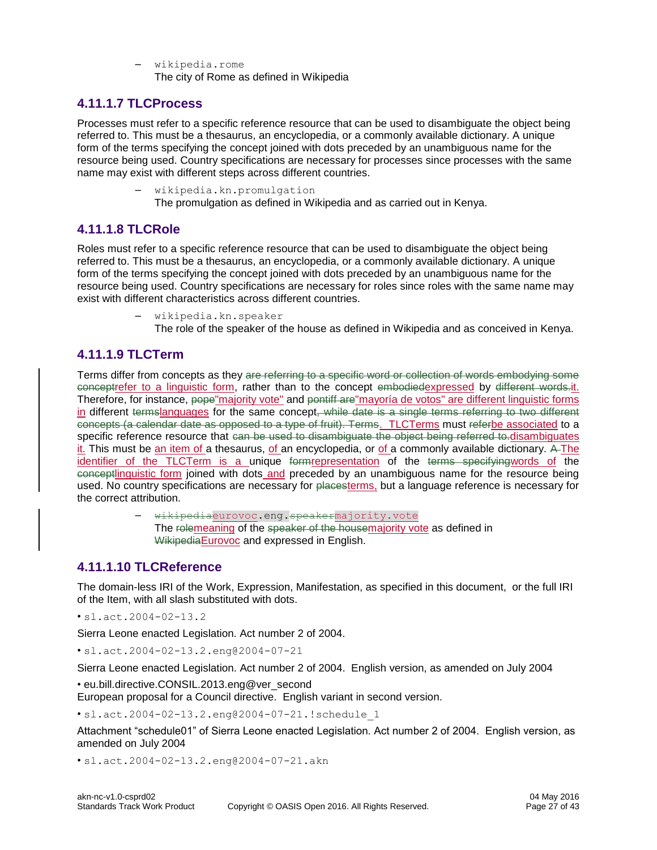– wikipedia.rome The city of Rome as defined in Wikipedia

#### <span id="page-26-0"></span>**4.11.1.7 TLCProcess**

Processes must refer to a specific reference resource that can be used to disambiguate the object being referred to. This must be a thesaurus, an encyclopedia, or a commonly available dictionary. A unique form of the terms specifying the concept joined with dots preceded by an unambiguous name for the resource being used. Country specifications are necessary for processes since processes with the same name may exist with different steps across different countries.

> – wikipedia.kn.promulgation The promulgation as defined in Wikipedia and as carried out in Kenya.

#### <span id="page-26-1"></span>**4.11.1.8 TLCRole**

Roles must refer to a specific reference resource that can be used to disambiguate the object being referred to. This must be a thesaurus, an encyclopedia, or a commonly available dictionary. A unique form of the terms specifying the concept joined with dots preceded by an unambiguous name for the resource being used. Country specifications are necessary for roles since roles with the same name may exist with different characteristics across different countries.

- wikipedia.kn.speaker
	- The role of the speaker of the house as defined in Wikipedia and as conceived in Kenya.

#### <span id="page-26-2"></span>**4.11.1.9 TLCTerm**

Terms differ from concepts as they are referring to a specific word or collection of words embodying some conceptrefer to a linguistic form, rather than to the concept embodiedexpressed by different words.it. Therefore, for instance, pope"majority vote" and pontiff are"mayoría de votos" are different linguistic forms in different termslanguages for the same concept, while date is a single terms referring to two different concepts (a calendar date as opposed to a type of fruit). Terms. TLCTerms must referbe associated to a specific reference resource that can be used to disambiguate the object being referred to.disambiguates it. This must be an item of a thesaurus, of an encyclopedia, or of a commonly available dictionary. A The identifier of the TLCTerm is a unique formrepresentation of the terms specifyingwords of the conceptlinguistic form joined with dots and preceded by an unambiguous name for the resource being used. No country specifications are necessary for placesterms, but a language reference is necessary for the correct attribution.

> wikipediaeurovoc.eng.speakermajority.vote The relemeaning of the speaker of the housemajority vote as defined in WikipediaEurovoc and expressed in English.

#### <span id="page-26-3"></span>**4.11.1.10 TLCReference**

The domain-less IRI of the Work, Expression, Manifestation, as specified in this document, or the full IRI of the Item, with all slash substituted with dots.

• sl.act.2004-02-13.2

Sierra Leone enacted Legislation. Act number 2 of 2004.

• sl.act.2004-02-13.2.eng@2004-07-21

Sierra Leone enacted Legislation. Act number 2 of 2004. English version, as amended on July 2004

• eu.bill.directive.CONSIL.2013.eng@ver\_second

European proposal for a Council directive. English variant in second version.

• [sl.act.2004-02-13.2.eng@2004-07-21.!schedule\\_1](mailto:sl.act.2004-02-13.2.eng@2004-07-21.!schedule_1)

Attachment "schedule01" of Sierra Leone enacted Legislation. Act number 2 of 2004. English version, as amended on July 2004

• [sl.act.2004-02-13.2.eng@2004-07-21.akn](mailto:sl.act.2004-02-13.2.eng@2004-07-21.akn)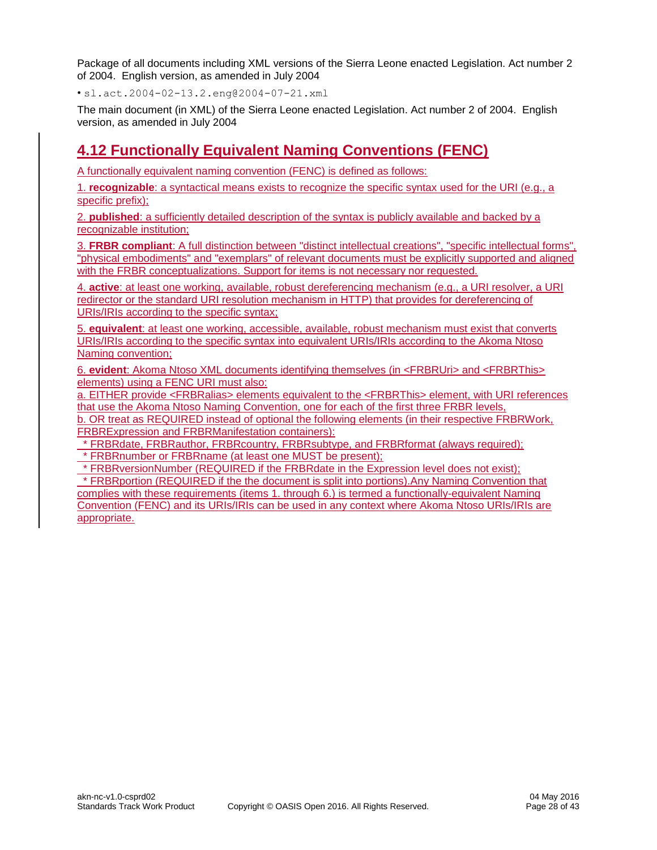Package of all documents including XML versions of the Sierra Leone enacted Legislation. Act number 2 of 2004. English version, as amended in July 2004

• [sl.act.2004-02-13.2.eng@2004-07-21.xml](mailto:sl.act.2004-02-13.2.eng@2004-07-21.xml)

The main document (in XML) of the Sierra Leone enacted Legislation. Act number 2 of 2004. English version, as amended in July 2004

### <span id="page-27-0"></span>**4.12 Functionally Equivalent Naming Conventions (FENC)**

A functionally equivalent naming convention (FENC) is defined as follows:

1. **recognizable**: a syntactical means exists to recognize the specific syntax used for the URI (e.g., a specific prefix);

2. **published**: a sufficiently detailed description of the syntax is publicly available and backed by a recognizable institution;

3. **FRBR compliant**: A full distinction between "distinct intellectual creations", "specific intellectual forms", "physical embodiments" and "exemplars" of relevant documents must be explicitly supported and aligned with the FRBR conceptualizations. Support for items is not necessary nor requested.

4. **active**: at least one working, available, robust dereferencing mechanism (e.g., a URI resolver, a URI redirector or the standard URI resolution mechanism in HTTP) that provides for dereferencing of URIs/IRIs according to the specific syntax;

5. **equivalent**: at least one working, accessible, available, robust mechanism must exist that converts URIs/IRIs according to the specific syntax into equivalent URIs/IRIs according to the Akoma Ntoso Naming convention;

6. **evident**: Akoma Ntoso XML documents identifying themselves (in <FRBRUri> and <FRBRThis> elements) using a FENC URI must also:

a. EITHER provide <FRBRalias> elements equivalent to the <FRBRThis> element, with URI references that use the Akoma Ntoso Naming Convention, one for each of the first three FRBR levels,

b. OR treat as REQUIRED instead of optional the following elements (in their respective FRBRWork, FRBRExpression and FRBRManifestation containers):

\* FRBRdate, FRBRauthor, FRBRcountry, FRBRsubtype, and FRBRformat (always required);

\* FRBRnumber or FRBRname (at least one MUST be present);

\* FRBRversionNumber (REQUIRED if the FRBRdate in the Expression level does not exist);

\* FRBRportion (REQUIRED if the the document is split into portions).Any Naming Convention that complies with these requirements (items 1. through 6.) is termed a functionally-equivalent Naming Convention (FENC) and its URIs/IRIs can be used in any context where Akoma Ntoso URIs/IRIs are appropriate.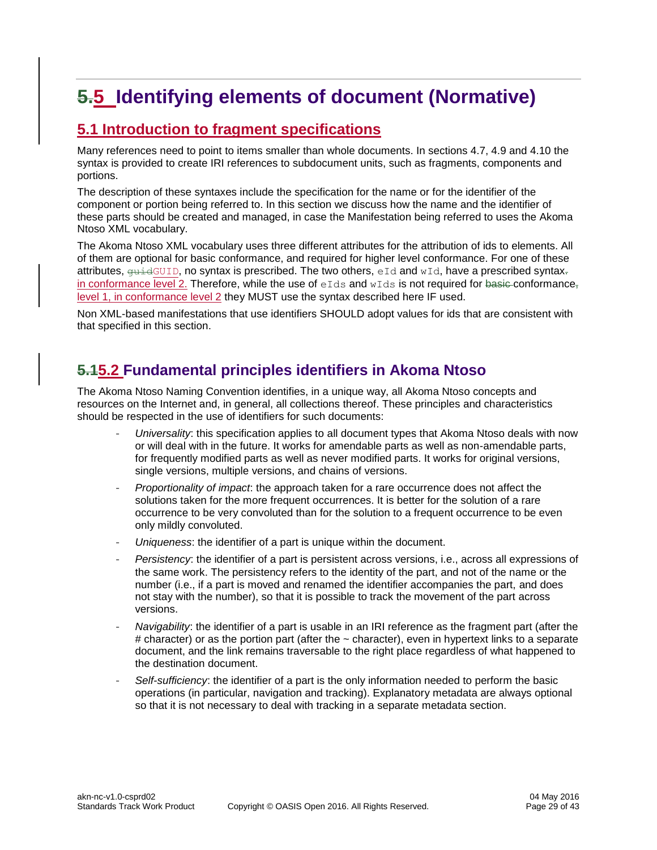# <span id="page-28-0"></span>**5.5 Identifying elements of document (Normative)**

### <span id="page-28-1"></span>**5.1 Introduction to fragment specifications**

Many references need to point to items smaller than whole documents. In sections 4.7, 4.9 and 4.10 the syntax is provided to create IRI references to subdocument units, such as fragments, components and portions.

The description of these syntaxes include the specification for the name or for the identifier of the component or portion being referred to. In this section we discuss how the name and the identifier of these parts should be created and managed, in case the Manifestation being referred to uses the Akoma Ntoso XML vocabulary.

The Akoma Ntoso XML vocabulary uses three different attributes for the attribution of ids to elements. All of them are optional for basic conformance, and required for higher level conformance. For one of these attributes,  $\frac{quidGUID}{m}$ , no syntax is prescribed. The two others, eId and wId, have a prescribed syntaxin conformance level 2. Therefore, while the use of  $eIds$  and  $wIds$  is not required for basic-conformance, level 1, in conformance level 2 they MUST use the syntax described here IF used.

Non XML-based manifestations that use identifiers SHOULD adopt values for ids that are consistent with that specified in this section.

### <span id="page-28-2"></span>**5.15.2 Fundamental principles identifiers in Akoma Ntoso**

The Akoma Ntoso Naming Convention identifies, in a unique way, all Akoma Ntoso concepts and resources on the Internet and, in general, all collections thereof. These principles and characteristics should be respected in the use of identifiers for such documents:

- *Universality*: this specification applies to all document types that Akoma Ntoso deals with now or will deal with in the future. It works for amendable parts as well as non-amendable parts, for frequently modified parts as well as never modified parts. It works for original versions, single versions, multiple versions, and chains of versions.
- *Proportionality of impact*: the approach taken for a rare occurrence does not affect the solutions taken for the more frequent occurrences. It is better for the solution of a rare occurrence to be very convoluted than for the solution to a frequent occurrence to be even only mildly convoluted.
- *Uniqueness*: the identifier of a part is unique within the document.
- *Persistency*: the identifier of a part is persistent across versions, i.e., across all expressions of the same work. The persistency refers to the identity of the part, and not of the name or the number (i.e., if a part is moved and renamed the identifier accompanies the part, and does not stay with the number), so that it is possible to track the movement of the part across versions.
- *Navigability*: the identifier of a part is usable in an IRI reference as the fragment part (after the  $#$  character) or as the portion part (after the  $\sim$  character), even in hypertext links to a separate document, and the link remains traversable to the right place regardless of what happened to the destination document.
- *Self-sufficiency*: the identifier of a part is the only information needed to perform the basic operations (in particular, navigation and tracking). Explanatory metadata are always optional so that it is not necessary to deal with tracking in a separate metadata section.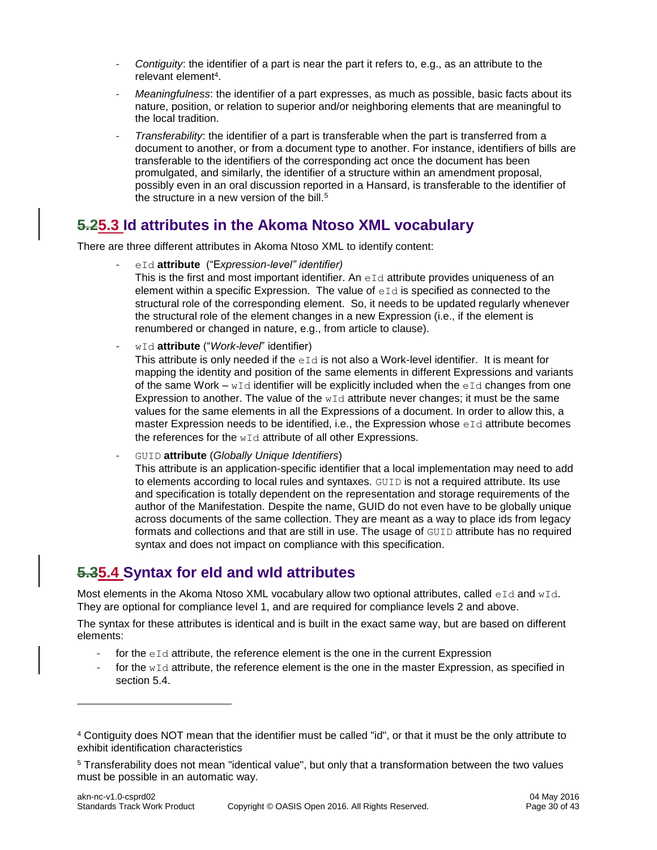- Contiguity: the identifier of a part is near the part it refers to, e.g., as an attribute to the relevant element<sup>4</sup>.
- *Meaningfulness*: the identifier of a part expresses, as much as possible, basic facts about its nature, position, or relation to superior and/or neighboring elements that are meaningful to the local tradition.
- *Transferability*: the identifier of a part is transferable when the part is transferred from a document to another, or from a document type to another. For instance, identifiers of bills are transferable to the identifiers of the corresponding act once the document has been promulgated, and similarly, the identifier of a structure within an amendment proposal, possibly even in an oral discussion reported in a Hansard, is transferable to the identifier of the structure in a new version of the bill. $5$

### <span id="page-29-0"></span>**5.25.3 Id attributes in the Akoma Ntoso XML vocabulary**

There are three different attributes in Akoma Ntoso XML to identify content:

- eId **attribute** ("E*xpression-level" identifier)*
	- This is the first and most important identifier. An  $eId$  attribute provides uniqueness of an element within a specific Expression. The value of  $eId$  is specified as connected to the structural role of the corresponding element. So, it needs to be updated regularly whenever the structural role of the element changes in a new Expression (i.e., if the element is renumbered or changed in nature, e.g., from article to clause).
- wId **attribute** ("*Work-level*" identifier)

This attribute is only needed if the  $eI\,d}$  is not also a Work-level identifier. It is meant for mapping the identity and position of the same elements in different Expressions and variants of the same Work –  $wId$  identifier will be explicitly included when the eId changes from one Expression to another. The value of the  $wId$  attribute never changes; it must be the same values for the same elements in all the Expressions of a document. In order to allow this, a master Expression needs to be identified, i.e., the Expression whose  $eId$  attribute becomes the references for the wId attribute of all other Expressions.

- GUID **attribute** (*Globally Unique Identifiers*)

This attribute is an application-specific identifier that a local implementation may need to add to elements according to local rules and syntaxes. GUID is not a required attribute. Its use and specification is totally dependent on the representation and storage requirements of the author of the Manifestation. Despite the name, GUID do not even have to be globally unique across documents of the same collection. They are meant as a way to place ids from legacy formats and collections and that are still in use. The usage of GUID attribute has no required syntax and does not impact on compliance with this specification.

### <span id="page-29-1"></span>**5.35.4 Syntax for eId and wId attributes**

l

Most elements in the Akoma Ntoso XML vocabulary allow two optional attributes, called  $eId$  and  $wId$ . They are optional for compliance level 1, and are required for compliance levels 2 and above.

The syntax for these attributes is identical and is built in the exact same way, but are based on different elements:

- for the  $eId$  attribute, the reference element is the one in the current Expression
- for the  $wId$  attribute, the reference element is the one in the master Expression, as specified in section 5.4.

<sup>4</sup> Contiguity does NOT mean that the identifier must be called "id", or that it must be the only attribute to exhibit identification characteristics

<sup>5</sup> Transferability does not mean "identical value", but only that a transformation between the two values must be possible in an automatic way.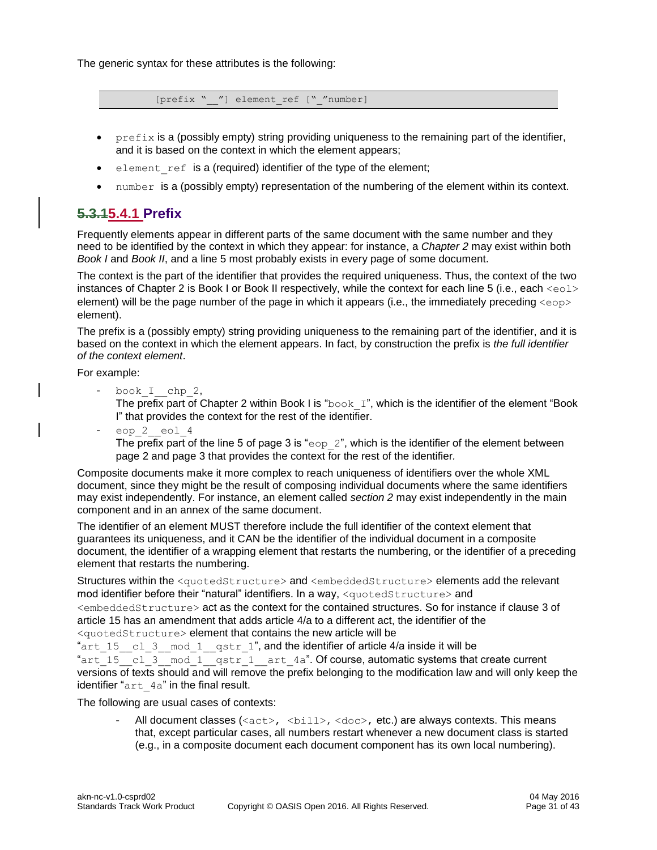The generic syntax for these attributes is the following:

[prefix " "] element ref [" "number]

- $perefix$  is a (possibly empty) string providing uniqueness to the remaining part of the identifier, and it is based on the context in which the element appears;
- $\bullet$  element ref is a (required) identifier of the type of the element;
- number is a (possibly empty) representation of the numbering of the element within its context.

#### <span id="page-30-0"></span>**5.3.15.4.1 Prefix**

Frequently elements appear in different parts of the same document with the same number and they need to be identified by the context in which they appear: for instance, a *Chapter 2* may exist within both *Book I* and *Book II*, and a line 5 most probably exists in every page of some document.

The context is the part of the identifier that provides the required uniqueness. Thus, the context of the two instances of Chapter 2 is Book I or Book II respectively, while the context for each line 5 (i.e., each <eol> element) will be the page number of the page in which it appears (i.e., the immediately preceding <eop> element).

The prefix is a (possibly empty) string providing uniqueness to the remaining part of the identifier, and it is based on the context in which the element appears. In fact, by construction the prefix is *the full identifier of the context element*.

For example:

book I chp 2,

The prefix part of Chapter 2 within Book I is " $\text{book}$  I", which is the identifier of the element "Book I" that provides the context for the rest of the identifier.

eop 2 eol 4 The prefix part of the line 5 of page 3 is "eop  $2$ ", which is the identifier of the element between page 2 and page 3 that provides the context for the rest of the identifier*.* 

Composite documents make it more complex to reach uniqueness of identifiers over the whole XML document, since they might be the result of composing individual documents where the same identifiers may exist independently. For instance, an element called *section 2* may exist independently in the main component and in an annex of the same document.

The identifier of an element MUST therefore include the full identifier of the context element that guarantees its uniqueness, and it CAN be the identifier of the individual document in a composite document, the identifier of a wrapping element that restarts the numbering, or the identifier of a preceding element that restarts the numbering.

Structures within the <quotedStructure> and <embeddedStructure> elements add the relevant mod identifier before their "natural" identifiers. In a way, <quotedStructure> and <embeddedStructure> act as the context for the contained structures. So for instance if clause 3 of article 15 has an amendment that adds article 4/a to a different act, the identifier of the

<quotedStructure> element that contains the new article will be

"art  $15$  cl 3 mod 1 qstr 1", and the identifier of article 4/a inside it will be "art\_15\_cl\_3\_mod\_1\_qstr\_1\_art\_4a". Of course, automatic systems that create current versions of texts should and will remove the prefix belonging to the modification law and will only keep the identifier "art 4a" in the final result.

The following are usual cases of contexts:

All document classes  $(\langle \text{act}\rangle, \langle \text{child}\rangle, \langle \text{doc}\rangle, \text{ etc.})$  are always contexts. This means that, except particular cases, all numbers restart whenever a new document class is started (e.g., in a composite document each document component has its own local numbering).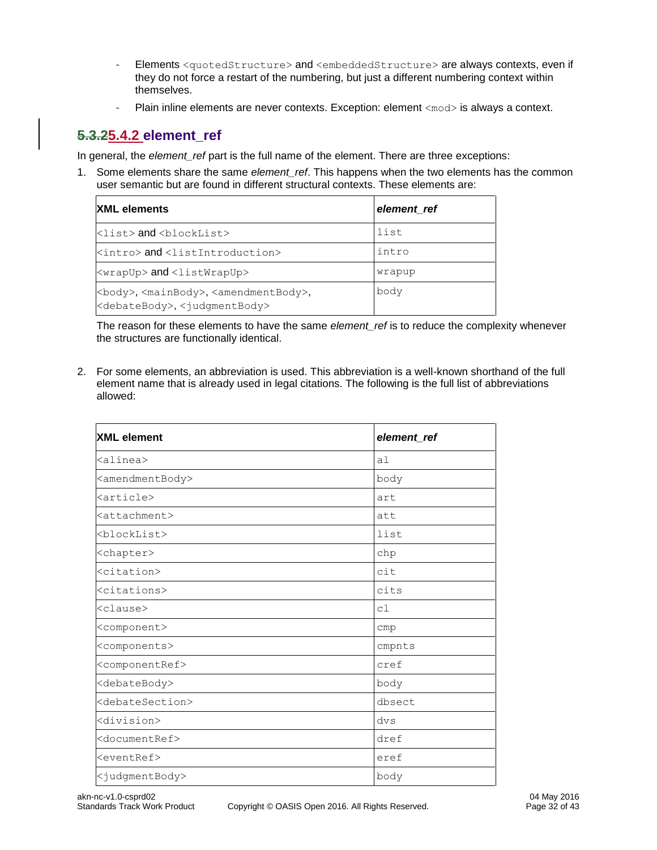- Elements <quotedStructure> and <embeddedStructure> are always contexts, even if they do not force a restart of the numbering, but just a different numbering context within themselves.
- Plain inline elements are never contexts. Exception: element <mod> is always a context.

#### <span id="page-31-0"></span>**5.3.25.4.2 element\_ref**

In general, the *element* ref part is the full name of the element. There are three exceptions:

1. Some elements share the same *element\_ref*. This happens when the two elements has the common user semantic but are found in different structural contexts. These elements are:

| <b>XML</b> elements                                                                                                               | element ref |
|-----------------------------------------------------------------------------------------------------------------------------------|-------------|
| $\langle$ list> and $\langle$ blockList>                                                                                          | list        |
| kintro> and <listintroduction></listintroduction>                                                                                 | intro       |
| <wrapup> and <listwrapup></listwrapup></wrapup>                                                                                   | wrapup      |
| <body>,<mainbody>,<amendmentbody>,<br/><debatebody>, <judgmentbody></judgmentbody></debatebody></amendmentbody></mainbody></body> | body        |

The reason for these elements to have the same *element\_ref* is to reduce the complexity whenever the structures are functionally identical.

2. For some elements, an abbreviation is used. This abbreviation is a well-known shorthand of the full element name that is already used in legal citations. The following is the full list of abbreviations allowed:

| <b>XML</b> element              | element_ref |
|---------------------------------|-------------|
| <alinea></alinea>               | al          |
| <amendmentbody></amendmentbody> | body        |
| <article></article>             | art         |
| <attachment></attachment>       | att         |
| <blocklist></blocklist>         | list        |
| <chapter></chapter>             | chp         |
| <citation></citation>           | cit         |
| <citations></citations>         | cits        |
| kclause>                        | cl          |
| <component></component>         | cmp         |
| <components></components>       | cmpnts      |
| <componentref></componentref>   | cref        |
| <debatebody></debatebody>       | body        |
| <debatesection></debatesection> | dbsect      |
| <division></division>           | dvs         |
| <documentref></documentref>     | dref        |
| <eventref></eventref>           | eref        |
| <judgmentbody></judgmentbody>   | body        |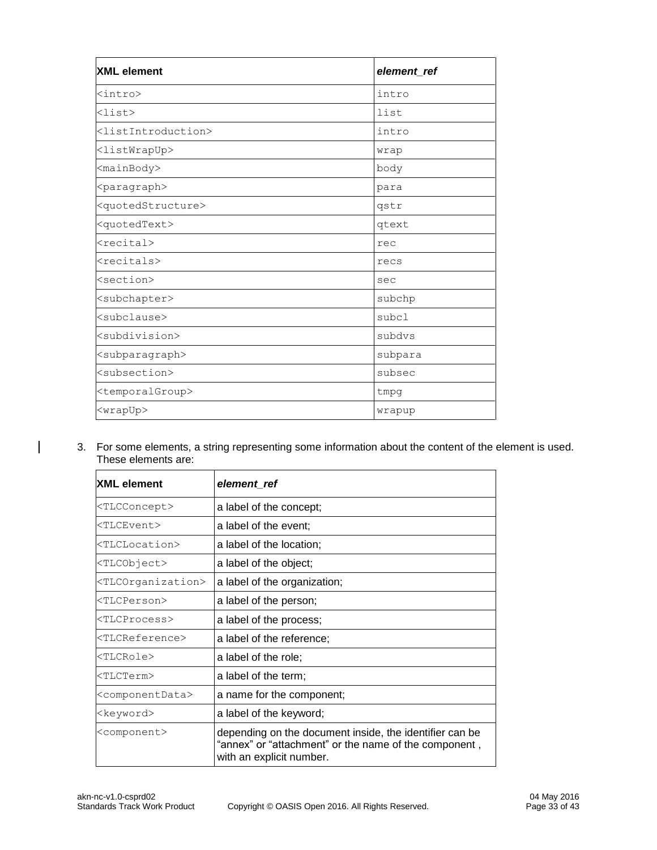| <b>XML</b> element                    | element_ref |
|---------------------------------------|-------------|
| <intro></intro>                       | intro       |
| $\langle$ list>                       | list        |
| <listintroduction></listintroduction> | intro       |
| <listwrapup></listwrapup>             | wrap        |
| <mainbody></mainbody>                 | body        |
| <paragraph></paragraph>               | para        |
| <quotedstructure></quotedstructure>   | gstr        |
| <quotedtext></quotedtext>             | qtext       |
| <recital></recital>                   | rec         |
| <recitals></recitals>                 | recs        |
| <section></section>                   | sec         |
| <subchapter></subchapter>             | subchp      |
| <subclause></subclause>               | subcl       |
| <subdivision></subdivision>           | subdys      |
| <subparagraph></subparagraph>         | subpara     |
| <subsection></subsection>             | subsec      |
| <temporalgroup></temporalgroup>       | tmpg        |
| <wrapup></wrapup>                     | wrapup      |

3. For some elements, a string representing some information about the content of the element is used. These elements are:

| <b>XML</b> element                             | element_ref                                                                                                                                  |  |
|------------------------------------------------|----------------------------------------------------------------------------------------------------------------------------------------------|--|
| <tlcconcept></tlcconcept>                      | a label of the concept;                                                                                                                      |  |
| <tlcevent></tlcevent>                          | a label of the event;                                                                                                                        |  |
| <tlclocation></tlclocation>                    | a label of the location;                                                                                                                     |  |
| <tlcobject></tlcobject>                        | a label of the object;                                                                                                                       |  |
| <tlcorganization></tlcorganization>            | a label of the organization;                                                                                                                 |  |
| <tlcperson></tlcperson>                        | a label of the person;                                                                                                                       |  |
| <tlcprocess></tlcprocess>                      | a label of the process;                                                                                                                      |  |
| <tlcreference></tlcreference>                  | a label of the reference;                                                                                                                    |  |
| <tlcrole></tlcrole>                            | a label of the role;                                                                                                                         |  |
| <tlcterm></tlcterm>                            | a label of the term;                                                                                                                         |  |
| <componentdata></componentdata>                | a name for the component;                                                                                                                    |  |
| a label of the keyword;<br><keyword></keyword> |                                                                                                                                              |  |
| <component></component>                        | depending on the document inside, the identifier can be<br>"annex" or "attachment" or the name of the component,<br>with an explicit number. |  |

 $\overline{1}$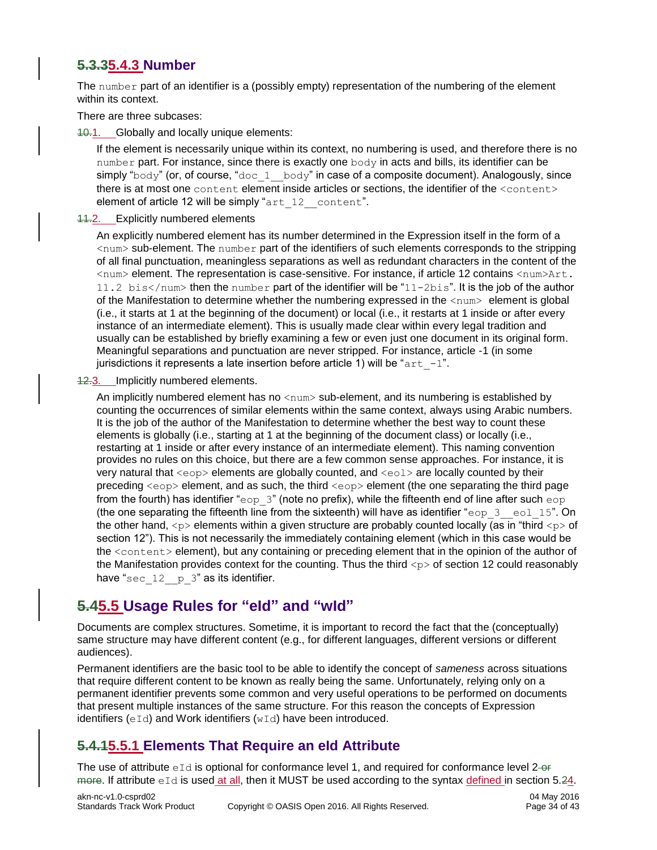#### <span id="page-33-0"></span>**5.3.35.4.3 Number**

The number part of an identifier is a (possibly empty) representation of the numbering of the element within its context.

There are three subcases:

40.1. Globally and locally unique elements:

If the element is necessarily unique within its context, no numbering is used, and therefore there is no number part. For instance, since there is exactly one  $body$  in acts and bills, its identifier can be simply "body" (or, of course, "doc  $1$  body" in case of a composite document). Analogously, since there is at most one content element inside articles or sections, the identifier of the <content> element of article 12 will be simply "art\_12\_content".

#### 11.2. Explicitly numbered elements

An explicitly numbered element has its number determined in the Expression itself in the form of a  $\langle$ num $\rangle$  sub-element. The number part of the identifiers of such elements corresponds to the stripping of all final punctuation, meaningless separations as well as redundant characters in the content of the <num> element. The representation is case-sensitive. For instance, if article 12 contains <num>Art. 11.2 bis</num> then the number part of the identifier will be "11-2bis". It is the job of the author of the Manifestation to determine whether the numbering expressed in the <num> element is global (i.e., it starts at 1 at the beginning of the document) or local (i.e., it restarts at 1 inside or after every instance of an intermediate element). This is usually made clear within every legal tradition and usually can be established by briefly examining a few or even just one document in its original form. Meaningful separations and punctuation are never stripped. For instance, article -1 (in some jurisdictions it represents a late insertion before article 1) will be " $art -1$ ".

12.3. Implicitly numbered elements.

An implicitly numbered element has no  $\langle \text{num} \rangle$  sub-element, and its numbering is established by counting the occurrences of similar elements within the same context, always using Arabic numbers. It is the job of the author of the Manifestation to determine whether the best way to count these elements is globally (i.e., starting at 1 at the beginning of the document class) or locally (i.e., restarting at 1 inside or after every instance of an intermediate element). This naming convention provides no rules on this choice, but there are a few common sense approaches. For instance, it is very natural that  $\langle e_{\text{op}} \rangle$  elements are globally counted, and  $\langle e_{\text{od}} \rangle$  are locally counted by their preceding  $\langle$ eop> element, and as such, the third  $\langle$ eop> element (the one separating the third page from the fourth) has identifier "eop  $3"$  (note no prefix), while the fifteenth end of line after such eop (the one separating the fifteenth line from the sixteenth) will have as identifier "eop  $3$  eol  $15$ ". On the other hand,  $\langle p \rangle$  elements within a given structure are probably counted locally (as in "third  $\langle p \rangle$  of section 12"). This is not necessarily the immediately containing element (which in this case would be the <content> element), but any containing or preceding element that in the opinion of the author of the Manifestation provides context for the counting. Thus the third  $\langle p \rangle$  of section 12 could reasonably have "sec  $12$  p  $3$ " as its identifier.

### <span id="page-33-1"></span>**5.45.5 Usage Rules for "eId" and "wId"**

Documents are complex structures. Sometime, it is important to record the fact that the (conceptually) same structure may have different content (e.g., for different languages, different versions or different audiences).

Permanent identifiers are the basic tool to be able to identify the concept of *sameness* across situations that require different content to be known as really being the same. Unfortunately, relying only on a permanent identifier prevents some common and very useful operations to be performed on documents that present multiple instances of the same structure. For this reason the concepts of Expression identifiers  $(eId)$  and Work identifiers  $(wId)$  have been introduced.

#### <span id="page-33-2"></span>**5.4.15.5.1 Elements That Require an eId Attribute**

The use of attribute  $eId$  is optional for conformance level 1, and required for conformance level 2- $e$ F more. If attribute eId is used at all, then it MUST be used according to the syntax defined in section 5.24.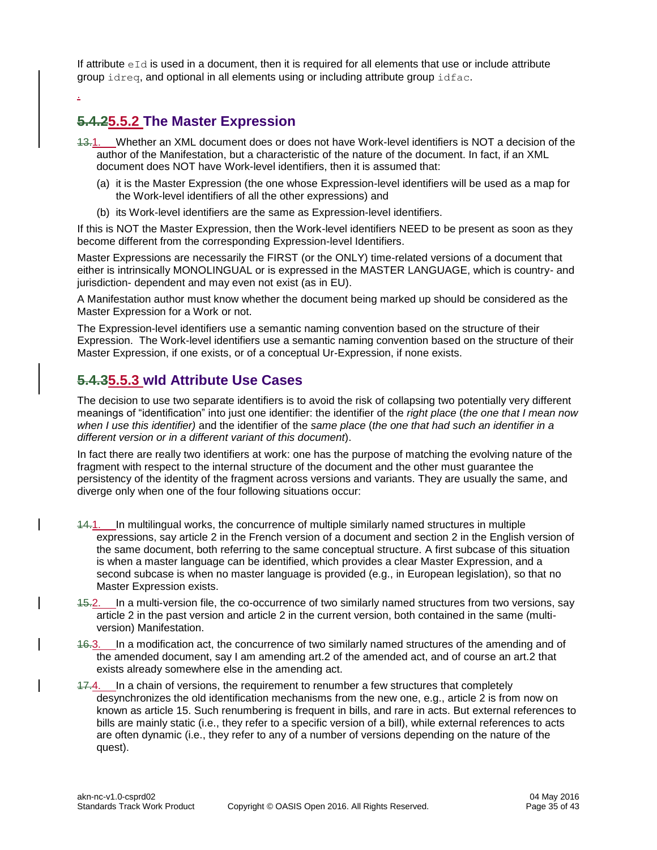If attribute  $eId$  is used in a document, then it is required for all elements that use or include attribute group idreq, and optional in all elements using or including attribute group idfac.

#### <span id="page-34-0"></span>**5.4.25.5.2 The Master Expression**

.

- 13.1. Whether an XML document does or does not have Work-level identifiers is NOT a decision of the author of the Manifestation, but a characteristic of the nature of the document. In fact, if an XML document does NOT have Work-level identifiers, then it is assumed that:
	- (a) it is the Master Expression (the one whose Expression-level identifiers will be used as a map for the Work-level identifiers of all the other expressions) and
	- (b) its Work-level identifiers are the same as Expression-level identifiers.

If this is NOT the Master Expression, then the Work-level identifiers NEED to be present as soon as they become different from the corresponding Expression-level Identifiers.

Master Expressions are necessarily the FIRST (or the ONLY) time-related versions of a document that either is intrinsically MONOLINGUAL or is expressed in the MASTER LANGUAGE, which is country- and jurisdiction- dependent and may even not exist (as in EU).

A Manifestation author must know whether the document being marked up should be considered as the Master Expression for a Work or not.

The Expression-level identifiers use a semantic naming convention based on the structure of their Expression. The Work-level identifiers use a semantic naming convention based on the structure of their Master Expression, if one exists, or of a conceptual Ur-Expression, if none exists.

#### <span id="page-34-1"></span>**5.4.35.5.3 wId Attribute Use Cases**

The decision to use two separate identifiers is to avoid the risk of collapsing two potentially very different meanings of "identification" into just one identifier: the identifier of the *right place* (*the one that I mean now when I use this identifier)* and the identifier of the *same place* (*the one that had such an identifier in a different version or in a different variant of this document*).

In fact there are really two identifiers at work: one has the purpose of matching the evolving nature of the fragment with respect to the internal structure of the document and the other must guarantee the persistency of the identity of the fragment across versions and variants. They are usually the same, and diverge only when one of the four following situations occur:

- 14.1. In multilingual works, the concurrence of multiple similarly named structures in multiple expressions, say article 2 in the French version of a document and section 2 in the English version of the same document, both referring to the same conceptual structure. A first subcase of this situation is when a master language can be identified, which provides a clear Master Expression, and a second subcase is when no master language is provided (e.g., in European legislation), so that no Master Expression exists.
- 15.2. In a multi-version file, the co-occurrence of two similarly named structures from two versions, say article 2 in the past version and article 2 in the current version, both contained in the same (multiversion) Manifestation.
- 16.3. In a modification act, the concurrence of two similarly named structures of the amending and of the amended document, say I am amending art.2 of the amended act, and of course an art.2 that exists already somewhere else in the amending act.
- 17.4. In a chain of versions, the requirement to renumber a few structures that completely desynchronizes the old identification mechanisms from the new one, e.g., article 2 is from now on known as article 15. Such renumbering is frequent in bills, and rare in acts. But external references to bills are mainly static (i.e., they refer to a specific version of a bill), while external references to acts are often dynamic (i.e., they refer to any of a number of versions depending on the nature of the quest).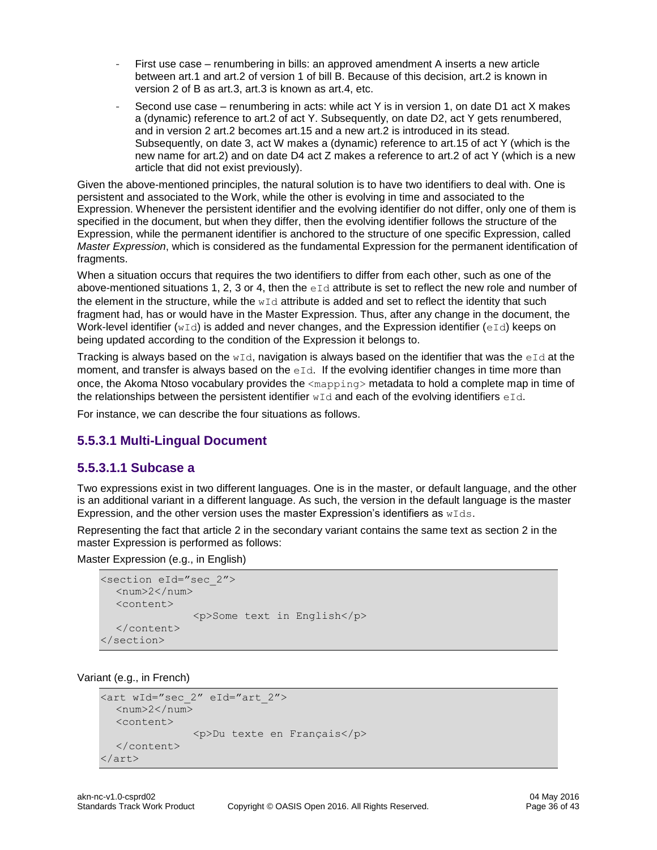- First use case renumbering in bills: an approved amendment A inserts a new article between art.1 and art.2 of version 1 of bill B. Because of this decision, art.2 is known in version 2 of B as art.3, art.3 is known as art.4, etc.
- Second use case renumbering in acts: while act Y is in version 1, on date D1 act X makes a (dynamic) reference to art.2 of act Y. Subsequently, on date D2, act Y gets renumbered, and in version 2 art.2 becomes art.15 and a new art.2 is introduced in its stead. Subsequently, on date 3, act W makes a (dynamic) reference to art.15 of act Y (which is the new name for art.2) and on date D4 act Z makes a reference to art.2 of act Y (which is a new article that did not exist previously).

Given the above-mentioned principles, the natural solution is to have two identifiers to deal with. One is persistent and associated to the Work, while the other is evolving in time and associated to the Expression. Whenever the persistent identifier and the evolving identifier do not differ, only one of them is specified in the document, but when they differ, then the evolving identifier follows the structure of the Expression, while the permanent identifier is anchored to the structure of one specific Expression, called *Master Expression*, which is considered as the fundamental Expression for the permanent identification of fragments.

When a situation occurs that requires the two identifiers to differ from each other, such as one of the above-mentioned situations 1, 2, 3 or 4, then the  $eI\,d$  attribute is set to reflect the new role and number of the element in the structure, while the  $wId$  attribute is added and set to reflect the identity that such fragment had, has or would have in the Master Expression. Thus, after any change in the document, the Work-level identifier ( $wId$ ) is added and never changes, and the Expression identifier (eId) keeps on being updated according to the condition of the Expression it belongs to.

Tracking is always based on the  $wId$ , navigation is always based on the identifier that was the eId at the moment, and transfer is always based on the  $\epsilon$ - Id. If the evolving identifier changes in time more than once, the Akoma Ntoso vocabulary provides the <mapping> metadata to hold a complete map in time of the relationships between the persistent identifier  $wId$  and each of the evolving identifiers  $eId$ .

For instance, we can describe the four situations as follows.

#### <span id="page-35-0"></span>**5.5.3.1 Multi-Lingual Document**

#### <span id="page-35-1"></span>**5.5.3.1.1 Subcase a**

Two expressions exist in two different languages. One is in the master, or default language, and the other is an additional variant in a different language. As such, the version in the default language is the master Expression, and the other version uses the master Expression's identifiers as  $wIds$ .

Representing the fact that article 2 in the secondary variant contains the same text as section 2 in the master Expression is performed as follows:

Master Expression (e.g., in English)

```
<section eId="sec_2">
  <num>2</num><content>
               <p>Some text in English</p>
  </content>
</section>
```
Variant (e.g., in French)

```
<art wId="sec_2" eId="art_2">
  <num>2</num><content>
               <p>Du texte en Français</p>
  </content>
</art>
```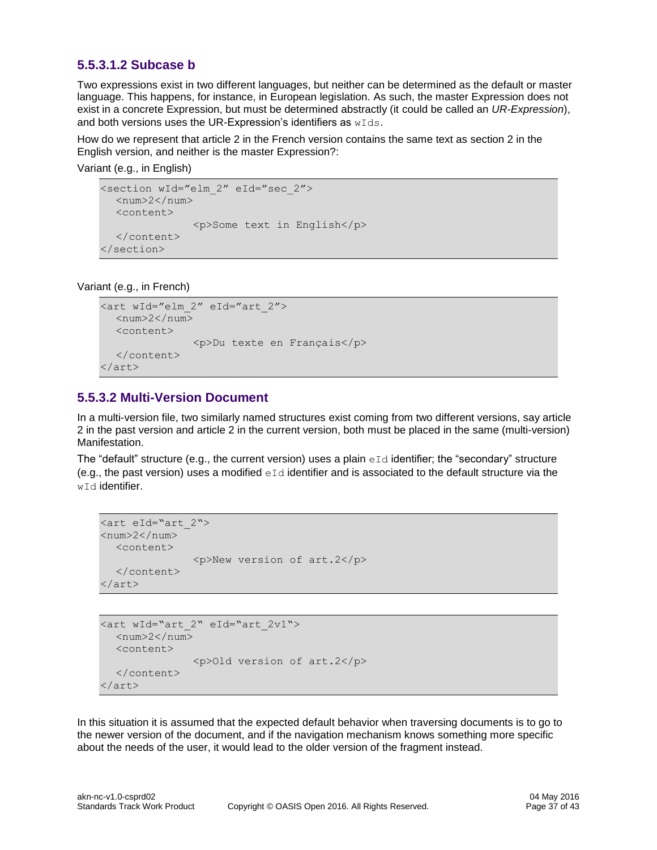#### <span id="page-36-0"></span>**5.5.3.1.2 Subcase b**

Two expressions exist in two different languages, but neither can be determined as the default or master language. This happens, for instance, in European legislation. As such, the master Expression does not exist in a concrete Expression, but must be determined abstractly (it could be called an *UR-Expression*), and both versions uses the UR-Expression's identifiers as wIds.

How do we represent that article 2 in the French version contains the same text as section 2 in the English version, and neither is the master Expression?:

Variant (e.g., in English)

```
<section wId="elm_2" eId="sec_2">
  <num>2</num><content>
               <p>Some text in English</p>
  </content>
</section>
```
Variant (e.g., in French)

```
<art wId="elm_2" eId="art_2">
  <num>2</num><content>
               <p>Du texte en Français</p>
  </content>
</art>
```
#### <span id="page-36-1"></span>**5.5.3.2 Multi-Version Document**

In a multi-version file, two similarly named structures exist coming from two different versions, say article 2 in the past version and article 2 in the current version, both must be placed in the same (multi-version) Manifestation.

The "default" structure (e.g., the current version) uses a plain  $eId$  identifier; the "secondary" structure (e.g., the past version) uses a modified  $eId$  identifier and is associated to the default structure via the w<sub>Id</sub> identifier.

```
<art eId="art_2">
<num>2</num><content>
                <p>New version of art.2</p>
  </content>
</art>
```

```
<art wId="art_2" eId="art_2v1">
  <num>2</num><content>
               <p>Old version of art.2</p>
  </content>
</art>
```
In this situation it is assumed that the expected default behavior when traversing documents is to go to the newer version of the document, and if the navigation mechanism knows something more specific about the needs of the user, it would lead to the older version of the fragment instead.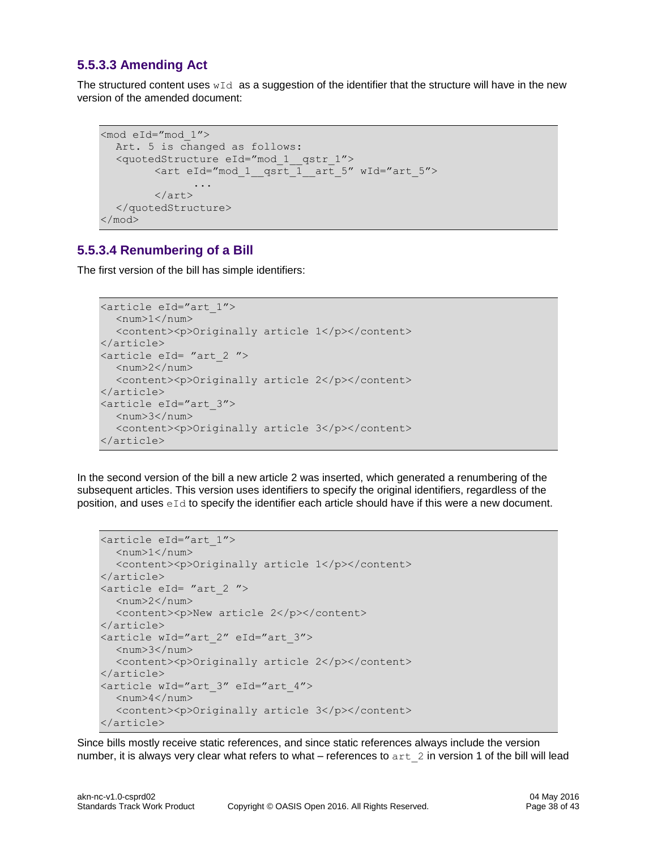#### <span id="page-37-0"></span>**5.5.3.3 Amending Act**

The structured content uses  $wId$  as a suggestion of the identifier that the structure will have in the new version of the amended document:

```
<mod eId="mod_1">
  Art. 5 is changed as follows:
  <quotedStructure eId="mod_1__qstr_1">
        <art eId="mod_1__qsrt_1__art_5" wId="art_5">
               ...
        \langleart\rangle</quotedStructure>
</mod>
```
#### <span id="page-37-1"></span>**5.5.3.4 Renumbering of a Bill**

The first version of the bill has simple identifiers:

```
<article eId="art_1">
  <num>1</num><content><p>Originally article 1</p></content>
</article>
<article eId= "art_2 ">
  <num>2</num><content><p>Originally article 2</p></content>
</article>
<article eId="art_3">
  <num>3</num><content><p>Originally article 3</p></content>
</article>
```
In the second version of the bill a new article 2 was inserted, which generated a renumbering of the subsequent articles. This version uses identifiers to specify the original identifiers, regardless of the position, and uses  $eId$  to specify the identifier each article should have if this were a new document.

```
<article eId="art_1">
 <num>1</num><content><p>Originally article 1</p></content>
</article>
<article eId= "art_2 ">
  <num>2</num><content><p>New article 2</p></content>
</article>
<article wId="art_2" eId="art_3">
  <num>3</num><content><p>Originally article 2</p></content>
</article>
<article wId="art_3" eId="art_4">
  <num>4</num><content><p>Originally article 3</p></content>
</article>
```
Since bills mostly receive static references, and since static references always include the version number, it is always very clear what refers to what – references to art 2 in version 1 of the bill will lead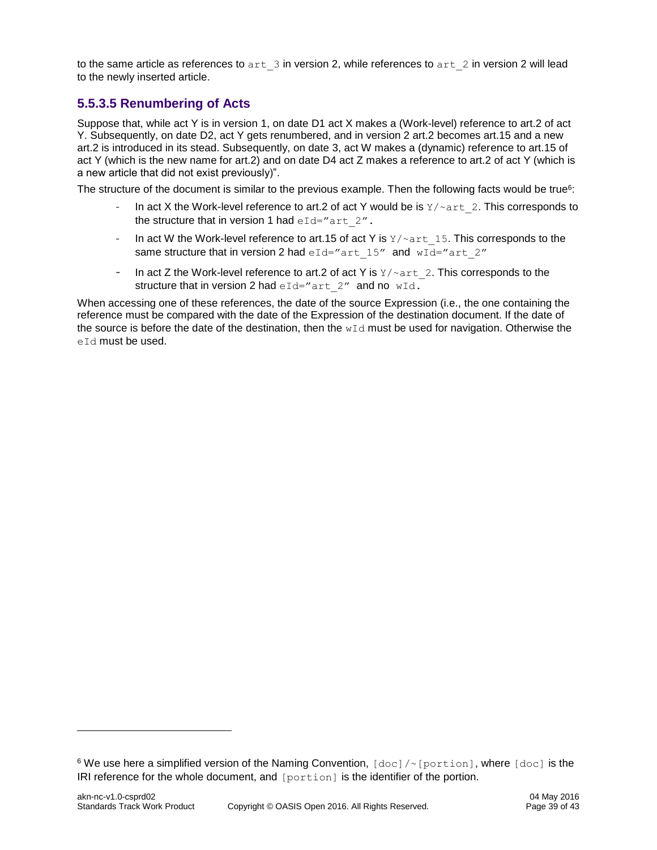to the same article as references to  $art-3$  in version 2, while references to  $art-2$  in version 2 will lead to the newly inserted article.

#### <span id="page-38-0"></span>**5.5.3.5 Renumbering of Acts**

Suppose that, while act Y is in version 1, on date D1 act X makes a (Work-level) reference to art.2 of act Y. Subsequently, on date D2, act Y gets renumbered, and in version 2 art.2 becomes art.15 and a new art.2 is introduced in its stead. Subsequently, on date 3, act W makes a (dynamic) reference to art.15 of act Y (which is the new name for art.2) and on date D4 act Z makes a reference to art.2 of act Y (which is a new article that did not exist previously)".

The structure of the document is similar to the previous example. Then the following facts would be true<sup>6</sup>:

- In act X the Work-level reference to art.2 of act Y would be is  $Y/\text{part}$  2. This corresponds to the structure that in version 1 had  $eId="art 2"$ .
- In act W the Work-level reference to art.15 of act Y is  $Y/\sim$  art 15. This corresponds to the same structure that in version 2 had  $eId="art 15"$  and  $wId="art 2"$
- In act Z the Work-level reference to art. 2 of act Y is  $Y/\text{part}$  2. This corresponds to the structure that in version 2 had  $eId="art 2"$  and no wId.

When accessing one of these references, the date of the source Expression (i.e., the one containing the reference must be compared with the date of the Expression of the destination document. If the date of the source is before the date of the destination, then the  $wId$  must be used for navigation. Otherwise the eId must be used.

l

<sup>&</sup>lt;sup>6</sup> We use here a simplified version of the Naming Convention, [doc]/~[portion], where [doc] is the IRI reference for the whole document, and [portion] is the identifier of the portion.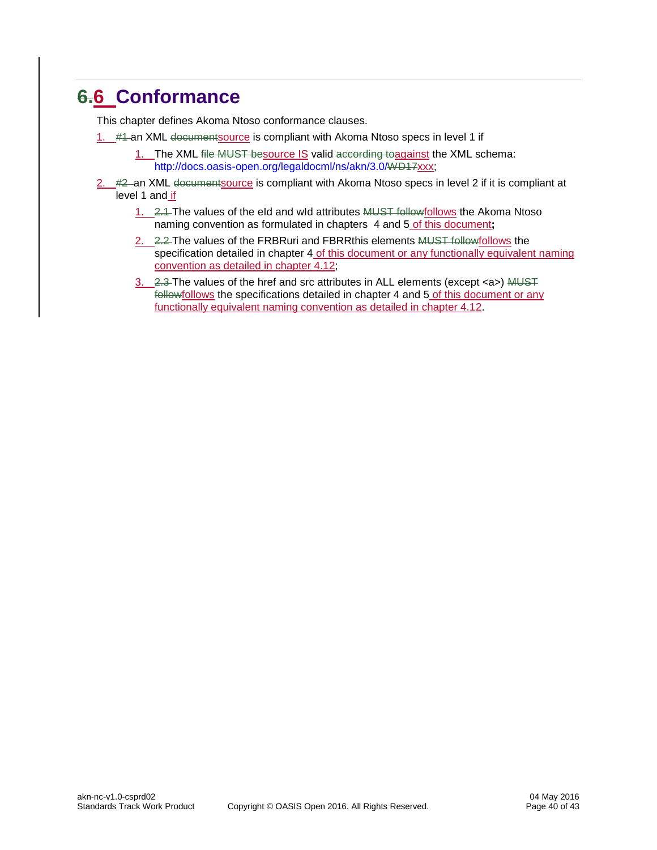# <span id="page-39-0"></span>**6.6 Conformance**

This chapter defines Akoma Ntoso conformance clauses.

- 1. #4-an XML documentsource is compliant with Akoma Ntoso specs in level 1 if
	- 1. The XML file MUST besource IS valid according toagainst the XML schema: [http://docs.oasis-open.org/legaldocml/ns/akn/3.0/WD17xxx;](http://docs.oasis-open.org/legaldocml/ns/akn/3.0/WD17)
- 2. #2 an XML documentsource is compliant with Akoma Ntoso specs in level 2 if it is compliant at level 1 and if
	- 1. 2.1 The values of the eId and wId attributes MUST followfollows the Akoma Ntoso naming convention as formulated in chapters 4 and 5 of this document**;**
	- 2. 2.2 The values of the FRBRuri and FBRRthis elements MUST followfollows the specification detailed in chapter 4 of this document or any functionally equivalent naming convention as detailed in chapter  $\overline{4.12}$ ;
	- $3.$  2.3 The values of the href and src attributes in ALL elements (except  $\langle a \rangle$ ) MUST followfollows the specifications detailed in chapter 4 and 5 of this document or any functionally equivalent naming convention as detailed in chapter 4.12.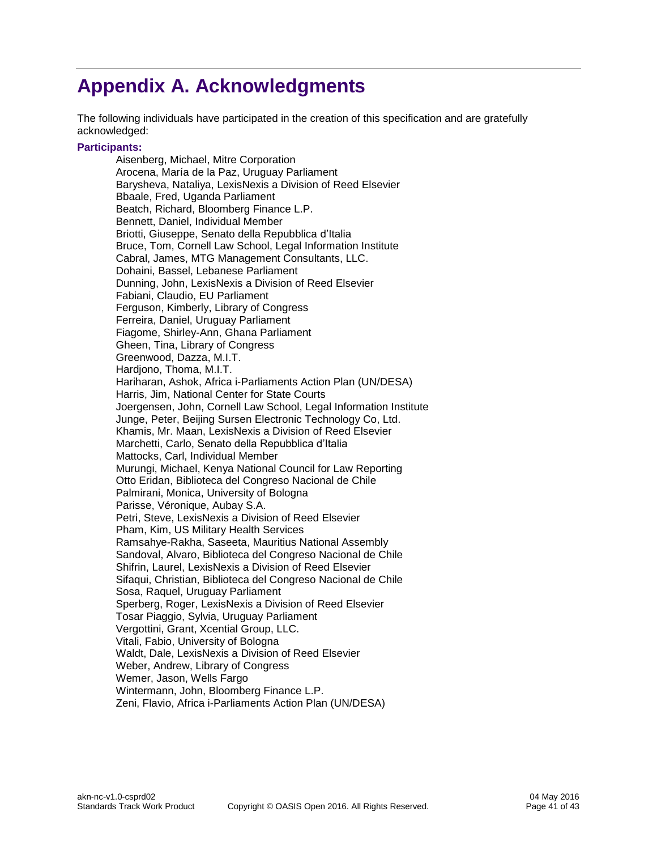# <span id="page-40-0"></span>**Appendix A. Acknowledgments**

The following individuals have participated in the creation of this specification and are gratefully acknowledged:

#### **Participants:**

Aisenberg, Michael, Mitre Corporation Arocena, María de la Paz, Uruguay Parliament Barysheva, Nataliya, LexisNexis a Division of Reed Elsevier Bbaale, Fred, Uganda Parliament Beatch, Richard, Bloomberg Finance L.P. Bennett, Daniel, Individual Member Briotti, Giuseppe, Senato della Repubblica d'Italia Bruce, Tom, Cornell Law School, Legal Information Institute Cabral, James, MTG Management Consultants, LLC. Dohaini, Bassel, Lebanese Parliament Dunning, John, LexisNexis a Division of Reed Elsevier Fabiani, Claudio, EU Parliament Ferguson, Kimberly, Library of Congress Ferreira, Daniel, Uruguay Parliament Fiagome, Shirley-Ann, Ghana Parliament Gheen, Tina, Library of Congress Greenwood, Dazza, M.I.T. Hardjono, Thoma, M.I.T. Hariharan, Ashok, Africa i-Parliaments Action Plan (UN/DESA) Harris, Jim, National Center for State Courts Joergensen, John, Cornell Law School, Legal Information Institute Junge, Peter, Beijing Sursen Electronic Technology Co, Ltd. Khamis, Mr. Maan, LexisNexis a Division of Reed Elsevier Marchetti, Carlo, Senato della Repubblica d'Italia Mattocks, Carl, Individual Member Murungi, Michael, Kenya National Council for Law Reporting Otto Eridan, Biblioteca del Congreso Nacional de Chile Palmirani, Monica, University of Bologna Parisse, Véronique, Aubay S.A. Petri, Steve, LexisNexis a Division of Reed Elsevier Pham, Kim, US Military Health Services Ramsahye-Rakha, Saseeta, Mauritius National Assembly Sandoval, Alvaro, Biblioteca del Congreso Nacional de Chile Shifrin, Laurel, LexisNexis a Division of Reed Elsevier Sifaqui, Christian, Biblioteca del Congreso Nacional de Chile Sosa, Raquel, Uruguay Parliament Sperberg, Roger, LexisNexis a Division of Reed Elsevier Tosar Piaggio, Sylvia, Uruguay Parliament Vergottini, Grant, Xcential Group, LLC. Vitali, Fabio, University of Bologna Waldt, Dale, LexisNexis a Division of Reed Elsevier Weber, Andrew, Library of Congress Wemer, Jason, Wells Fargo Wintermann, John, Bloomberg Finance L.P. Zeni, Flavio, Africa i-Parliaments Action Plan (UN/DESA)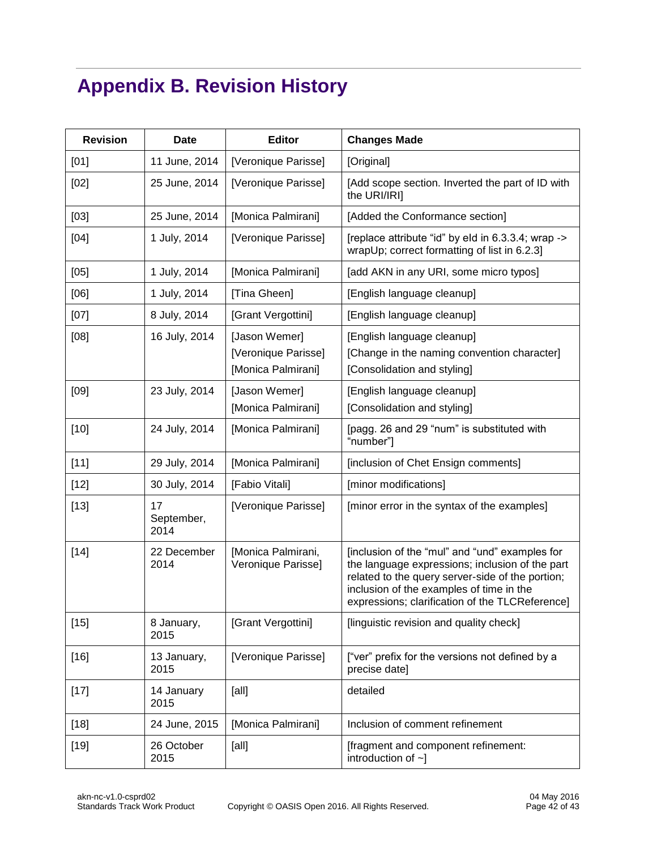# <span id="page-41-0"></span>**Appendix B. Revision History**

| <b>Revision</b> | <b>Date</b>              | <b>Editor</b>                                              | <b>Changes Made</b>                                                                                                                                                                                                                                  |
|-----------------|--------------------------|------------------------------------------------------------|------------------------------------------------------------------------------------------------------------------------------------------------------------------------------------------------------------------------------------------------------|
| [01]            | 11 June, 2014            | [Veronique Parisse]                                        | [Original]                                                                                                                                                                                                                                           |
| [02]            | 25 June, 2014            | [Veronique Parisse]                                        | [Add scope section. Inverted the part of ID with<br>the URI/IRI]                                                                                                                                                                                     |
| [03]            | 25 June, 2014            | [Monica Palmirani]                                         | [Added the Conformance section]                                                                                                                                                                                                                      |
| [04]            | 1 July, 2014             | [Veronique Parisse]                                        | [replace attribute "id" by eld in 6.3.3.4; wrap -><br>wrapUp; correct formatting of list in 6.2.3]                                                                                                                                                   |
| [05]            | 1 July, 2014             | [Monica Palmirani]                                         | [add AKN in any URI, some micro typos]                                                                                                                                                                                                               |
| [06]            | 1 July, 2014             | [Tina Gheen]                                               | [English language cleanup]                                                                                                                                                                                                                           |
| [07]            | 8 July, 2014             | [Grant Vergottini]                                         | [English language cleanup]                                                                                                                                                                                                                           |
| [08]            | 16 July, 2014            | [Jason Wemer]<br>[Veronique Parisse]<br>[Monica Palmirani] | [English language cleanup]<br>[Change in the naming convention character]<br>[Consolidation and styling]                                                                                                                                             |
| [09]            | 23 July, 2014            | [Jason Wemer]<br>[Monica Palmirani]                        | [English language cleanup]<br>[Consolidation and styling]                                                                                                                                                                                            |
| $[10]$          | 24 July, 2014            | [Monica Palmirani]                                         | [pagg. 26 and 29 "num" is substituted with<br>"number"]                                                                                                                                                                                              |
| $[11]$          | 29 July, 2014            | [Monica Palmirani]                                         | [inclusion of Chet Ensign comments]                                                                                                                                                                                                                  |
| $[12]$          | 30 July, 2014            | [Fabio Vitali]                                             | [minor modifications]                                                                                                                                                                                                                                |
| $[13]$          | 17<br>September,<br>2014 | [Veronique Parisse]                                        | [minor error in the syntax of the examples]                                                                                                                                                                                                          |
| $[14]$          | 22 December<br>2014      | [Monica Palmirani,<br>Veronique Parisse]                   | [inclusion of the "mul" and "und" examples for<br>the language expressions; inclusion of the part<br>related to the query server-side of the portion;<br>inclusion of the examples of time in the<br>expressions; clarification of the TLCReference] |
| $[15]$          | 8 January,<br>2015       | [Grant Vergottini]                                         | [linguistic revision and quality check]                                                                                                                                                                                                              |
| $[16]$          | 13 January,<br>2015      | [Veronique Parisse]                                        | ["ver" prefix for the versions not defined by a<br>precise date]                                                                                                                                                                                     |
| $[17]$          | 14 January<br>2015       | [all]                                                      | detailed                                                                                                                                                                                                                                             |
| $[18]$          | 24 June, 2015            | [Monica Palmirani]                                         | Inclusion of comment refinement                                                                                                                                                                                                                      |
| $[19]$          | 26 October<br>2015       | [all]                                                      | [fragment and component refinement:<br>introduction of $\sim$ ]                                                                                                                                                                                      |